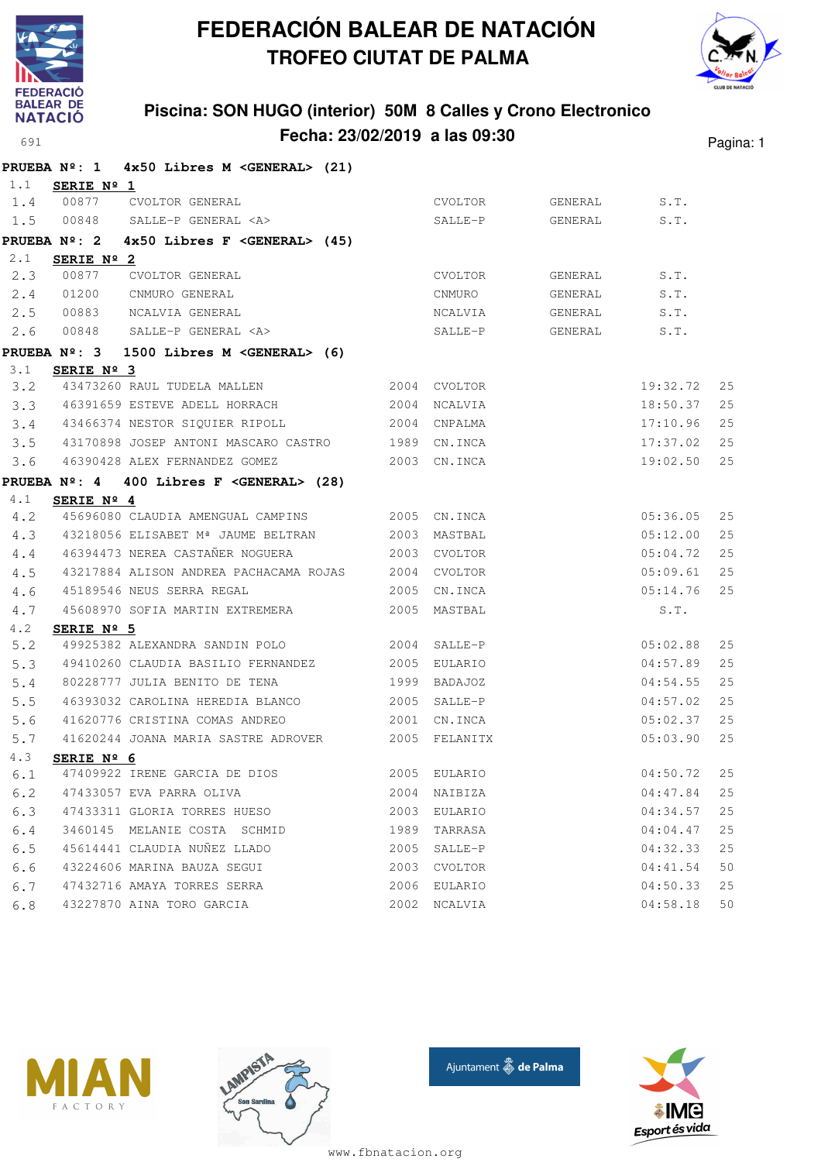



### **Piscina: SON HUGO (interior) 50M 8 Calles y Crono Electronico Fecha: 23/02/2019 a las 09:30** Pagina: 1

|                     | <b>PRUEBA Nº: 1</b>      | 4x50 Libres M <general> (21)</general>                       |      |               |         |          |    |
|---------------------|--------------------------|--------------------------------------------------------------|------|---------------|---------|----------|----|
| 1.1                 | SERIE Nº 1               |                                                              |      |               |         |          |    |
| 1.4                 | 00877                    | CVOLTOR GENERAL                                              |      | CVOLTOR       | GENERAL | S.T.     |    |
| 1.5                 | 00848                    | SALLE-P GENERAL <a></a>                                      |      | SALLE-P       | GENERAL | S.T.     |    |
| <b>PRUEBA Nº: 2</b> |                          | $4x50$ Libres F < GENERAL> $(45)$                            |      |               |         |          |    |
| 2.1                 | SERIE $N^{\circ}$ 2      |                                                              |      |               |         |          |    |
| 2.3                 | 00877                    | CVOLTOR GENERAL                                              |      | CVOLTOR       | GENERAL | S.T.     |    |
| 2.4                 | 01200                    | CNMURO GENERAL                                               |      | CNMURO        | GENERAL | S.T.     |    |
| 2.5                 | 00883                    | NCALVIA GENERAL                                              |      | NCALVIA       | GENERAL | S.T.     |    |
| 2.6                 | 00848                    | SALLE-P GENERAL <a></a>                                      |      | SALLE-P       | GENERAL | S.T.     |    |
|                     |                          | PRUEBA $N^{\circ}$ : 3 1500 Libres M <general> (6)</general> |      |               |         |          |    |
| 3.1                 | SERIE $N^{\circ}$ 3      |                                                              |      |               |         |          |    |
| $3 \cdot 2$         |                          | 43473260 RAUL TUDELA MALLEN                                  |      | 2004 CVOLTOR  |         | 19:32.72 | 25 |
| 3.3                 |                          | 46391659 ESTEVE ADELL HORRACH                                |      | 2004 NCALVIA  |         | 18:50.37 | 25 |
| 3.4                 |                          | 43466374 NESTOR SIQUIER RIPOLL                               |      | 2004 CNPALMA  |         | 17:10.96 | 25 |
| 3.5                 |                          | 43170898 JOSEP ANTONI MASCARO CASTRO                         |      | 1989 CN.INCA  |         | 17:37.02 | 25 |
| 3.6                 |                          | 46390428 ALEX FERNANDEZ GOMEZ                                |      | 2003 CN.INCA  |         | 19:02.50 | 25 |
|                     |                          | PRUEBA $N^{\circ}$ : 4 400 Libres F < GENERAL> (28)          |      |               |         |          |    |
| 4.1                 | SERIE Nº 4               |                                                              |      |               |         |          |    |
| 4.2                 |                          | 45696080 CLAUDIA AMENGUAL CAMPINS                            |      | 2005 CN.INCA  |         | 05:36.05 | 25 |
| 4.3                 |                          | 43218056 ELISABET Mª JAUME BELTRAN                           | 2003 | MASTBAL       |         | 05:12.00 | 25 |
| 4.4                 |                          | 46394473 NEREA CASTANER NOGUERA                              |      | 2003 CVOLTOR  |         | 05:04.72 | 25 |
| 4.5                 |                          | 43217884 ALISON ANDREA PACHACAMA ROJAS                       |      | 2004 CVOLTOR  |         | 05:09.61 | 25 |
| 4.6                 |                          | 45189546 NEUS SERRA REGAL                                    |      | 2005 CN.INCA  |         | 05:14.76 | 25 |
| 4.7                 |                          | 45608970 SOFIA MARTIN EXTREMERA                              |      | 2005 MASTBAL  |         | S.T.     |    |
| 4.2                 | SERIE $N^{\circ}$ 5      |                                                              |      |               |         |          |    |
| 5.2                 |                          | 49925382 ALEXANDRA SANDIN POLO                               | 2004 | SALLE-P       |         | 05:02.88 | 25 |
| 5.3                 |                          | 49410260 CLAUDIA BASILIO FERNANDEZ                           | 2005 | EULARIO       |         | 04:57.89 | 25 |
| 5.4                 |                          | 80228777 JULIA BENITO DE TENA                                |      | 1999 BADAJOZ  |         | 04:54.55 | 25 |
| 5.5                 |                          | 46393032 CAROLINA HEREDIA BLANCO                             | 2005 | SALLE-P       |         | 04:57.02 | 25 |
| 5.6                 |                          | 41620776 CRISTINA COMAS ANDREO                               | 2001 | CN.INCA       |         | 05:02.37 | 25 |
| 5.7                 |                          | 41620244 JOANA MARIA SASTRE ADROVER                          |      | 2005 FELANITX |         | 05:03.90 | 25 |
| 4.3                 | SERIE $N^{\circ}$ 6      |                                                              |      |               |         |          |    |
| 6.1                 |                          | 47409922 IRENE GARCIA DE DIOS                                |      | 2005 EULARIO  |         | 04:50.72 | 25 |
| 6.2                 | 47433057 EVA PARRA OLIVA |                                                              | 2004 | NAIBIZA       |         | 04:47.84 | 25 |
| 6.3                 |                          | 47433311 GLORIA TORRES HUESO                                 | 2003 | EULARIO       |         | 04:34.57 | 25 |
| 6.4                 |                          | 3460145 MELANIE COSTA SCHMID                                 | 1989 | TARRASA       |         | 04:04.47 | 25 |
| 6.5                 |                          | 45614441 CLAUDIA NUÑEZ LLADO                                 | 2005 | SALLE-P       |         | 04:32.33 | 25 |
| 6.6                 |                          | 43224606 MARINA BAUZA SEGUI                                  | 2003 | CVOLTOR       |         | 04:41.54 | 50 |
| 6.7                 |                          | 47432716 AMAYA TORRES SERRA                                  | 2006 | EULARIO       |         | 04:50.33 | 25 |
| 6.8                 |                          | 43227870 AINA TORO GARCIA                                    | 2002 | NCALVIA       |         | 04:58.18 | 50 |







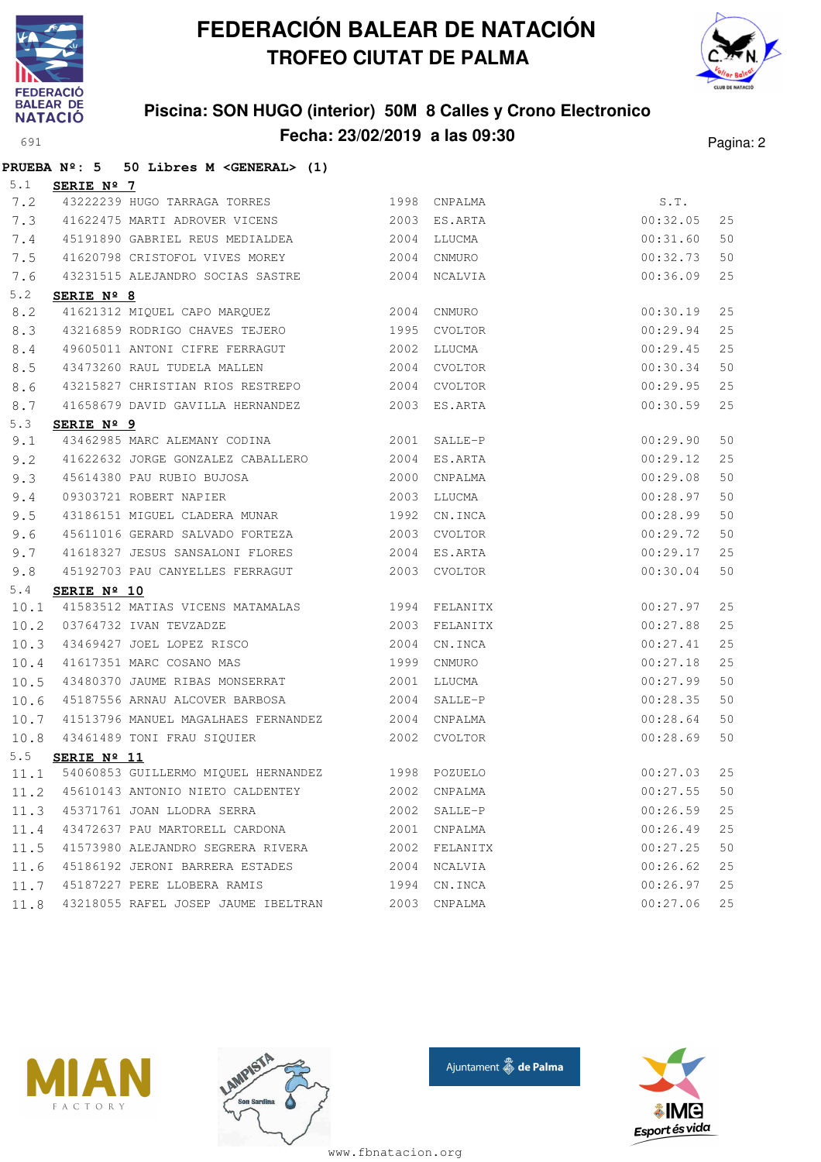

**PRUEBA Nº: 5 50 Libres M <GENERAL> (1)**

# **FEDERACIÓN BALEAR DE NATACIÓN TROFEO CIUTAT DE PALMA**



### **Piscina: SON HUGO (interior) 50M 8 Calles y Crono Electronico Fecha: 23/02/2019 a las 09:30** Pagina: 2

| 5.1  | SERIE Nº 7           |                                                                                                                                  |              |              |          |    |
|------|----------------------|----------------------------------------------------------------------------------------------------------------------------------|--------------|--------------|----------|----|
| 7.2  |                      | 43222239 HUGO TARRAGA TORRES 1998 CNPALMA                                                                                        |              |              | S.T.     |    |
| 7.3  |                      | 41622475 MARTI ADROVER VICENS 2003 ES.ARTA                                                                                       |              |              | 00:32.05 | 25 |
| 7.4  |                      | 45191890 GABRIEL REUS MEDIALDEA 62004 LLUCMA                                                                                     |              |              | 00:31.60 | 50 |
| 7.5  |                      | 41620798 CRISTOFOL VIVES MOREY 2004 CNMURO                                                                                       |              |              | 00:32.73 | 50 |
| 7.6  |                      | 43231515 ALEJANDRO SOCIAS SASTRE 2004 NCALVIA                                                                                    |              |              | 00:36.09 | 25 |
| 5.2  | SERIE Nº 8           |                                                                                                                                  |              |              |          |    |
| 8.2  |                      | ERIE Nº 0<br>41621312 MIQUEL CAPO MARQUEZ 2004 CNMURO                                                                            |              |              | 00:30.19 | 25 |
| 8.3  |                      | 43216859 RODRIGO CHAVES TEJERO 1995 CVOLTOR                                                                                      |              |              | 00:29.94 | 25 |
| 8.4  |                      | 49605011 ANTONI CIFRE FERRAGUT 2002                                                                                              |              | LLUCMA       | 00:29.45 | 25 |
| 8.5  |                      | 43473260 RAUL TUDELA MALLEN                                                                                                      | 2004 CVOLTOR |              | 00:30.34 | 50 |
| 8.6  |                      | 43215827 CHRISTIAN RIOS RESTREPO 2004 CVOLTOR                                                                                    |              |              | 00:29.95 | 25 |
| 8.7  |                      | 41658679 DAVID GAVILLA HERNANDEZ 2003 ES.ARTA                                                                                    |              |              | 00:30.59 | 25 |
| 5.3  | SERIE Nº 9           |                                                                                                                                  |              |              |          |    |
| 9.1  |                      | 43462985 MARC ALEMANY CODINA 2001                                                                                                |              | SALLE-P      | 00:29.90 | 50 |
| 9.2  |                      | 41622632 JORGE GONZALEZ CABALLERO 2004 ES.ARTA                                                                                   |              |              | 00:29.12 | 25 |
| 9.3  |                      | 45614380 PAU RUBIO BUJOSA 2000 CNPALMA                                                                                           |              |              | 00:29.08 | 50 |
| 9.4  |                      | 09303721 ROBERT NAPIER                                                                                                           | 2003         | LLUCMA       | 00:28.97 | 50 |
| 9.5  |                      | 43186151 MIGUEL CLADERA MUNAR 1992                                                                                               |              | CN.INCA      | 00:28.99 | 50 |
| 9.6  |                      | 45611016 GERARD SALVADO FORTEZA                                                                                                  |              | 2003 CVOLTOR | 00:29.72 | 50 |
| 9.7  |                      | 41618327 JESUS SANSALONI FLORES 2004 ES.ARTA                                                                                     |              |              | 00:29.17 | 25 |
| 9.8  |                      | 45192703 PAU CANYELLES FERRAGUT 2003 CVOLTOR                                                                                     |              |              | 00:30.04 | 50 |
| 5.4  | SERIE Nº 10          |                                                                                                                                  |              |              |          |    |
| 10.1 |                      |                                                                                                                                  |              |              | 00:27.97 | 25 |
| 10.2 |                      |                                                                                                                                  |              |              | 00:27.88 | 25 |
| 10.3 |                      | 41583512 MATIAS VICENS MATAMALAS 1994 FELANITX<br>03764732 IVAN TEVZADZE 2003 FELANITX<br>43469427 JOEL LOPEZ RISCO 2004 CN.INCA |              |              | 00:27.41 | 25 |
| 10.4 |                      | 41617351 MARC COSANO MAS 1999                                                                                                    |              | CNMURO       | 00:27.18 | 25 |
| 10.5 |                      | 43480370 JAUME RIBAS MONSERRAT 2001                                                                                              |              | LLUCMA       | 00:27.99 | 50 |
| 10.6 |                      | 45187556 ARNAU ALCOVER BARBOSA                                                                                                   | 2004         | SALLE-P      | 00:28.35 | 50 |
| 10.7 |                      | 41513796 MANUEL MAGALHAES FERNANDEZ 2004                                                                                         |              | CNPALMA      | 00:28.64 | 50 |
| 10.8 |                      | 43461489 TONI FRAU SIQUIER 2002 CVOLTOR                                                                                          |              |              | 00:28.69 | 50 |
| 5.5  | SERIE $N^{\circ}$ 11 |                                                                                                                                  |              |              |          |    |
|      |                      | 11.1 54060853 GUILLERMO MIQUEL HERNANDEZ 1998 POZUELO                                                                            |              |              | 00:27.03 | 25 |
| 11.2 |                      | 45610143 ANTONIO NIETO CALDENTEY 2002 CNPALMA                                                                                    |              |              | 00:27.55 | 50 |
| 11.3 |                      | 45371761 JOAN LLODRA SERRA                                                                                                       | 2002         | SALLE-P      | 00:26.59 | 25 |
| 11.4 |                      | 43472637 PAU MARTORELL CARDONA                                                                                                   | 2001         | CNPALMA      | 00:26.49 | 25 |
| 11.5 |                      | 41573980 ALEJANDRO SEGRERA RIVERA                                                                                                | 2002         | FELANITX     | 00:27.25 | 50 |
| 11.6 |                      | 45186192 JERONI BARRERA ESTADES                                                                                                  | 2004         | NCALVIA      | 00:26.62 | 25 |
| 11.7 |                      | 45187227 PERE LLOBERA RAMIS                                                                                                      | 1994         | CN.INCA      | 00:26.97 | 25 |
| 11.8 |                      | 43218055 RAFEL JOSEP JAUME IBELTRAN                                                                                              | 2003         | CNPALMA      | 00:27.06 | 25 |







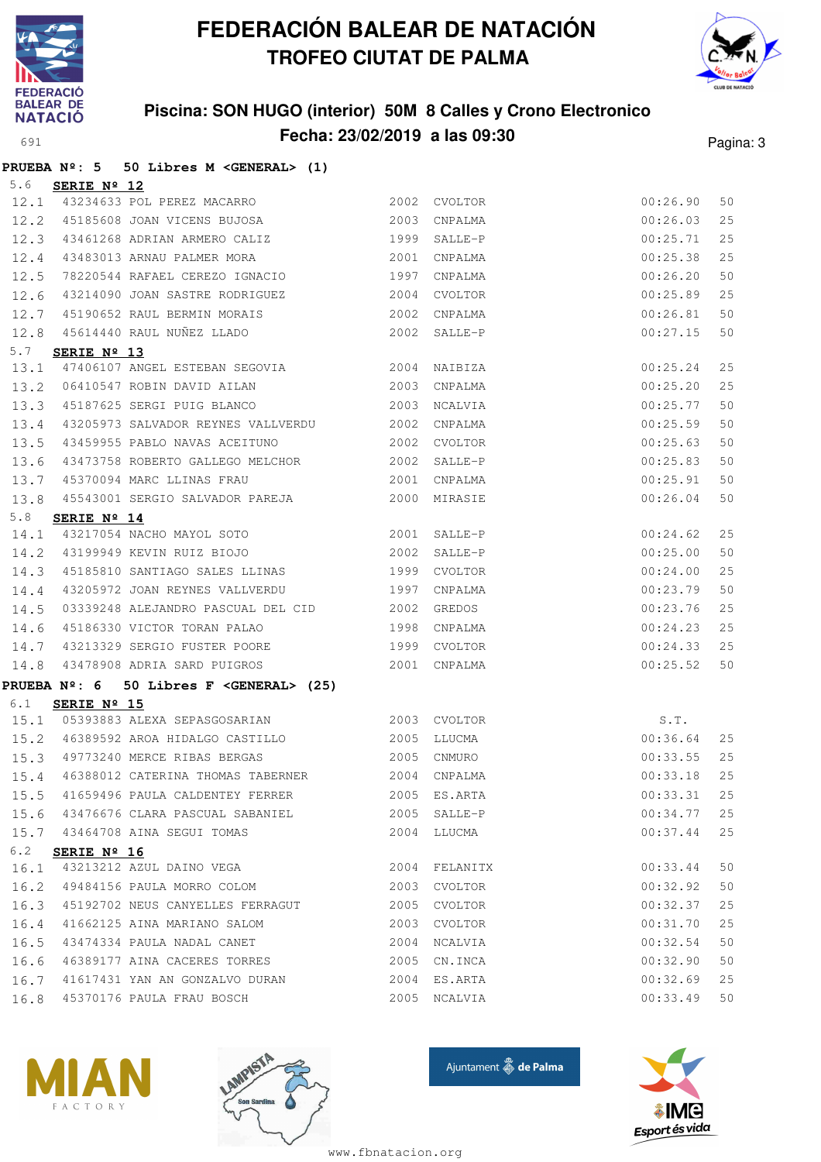

# **FEDERACIÓN BALEAR DE NATACIÓN TROFEO CIUTAT DE PALMA**



# **Piscina: SON HUGO (interior) 50M 8 Calles y Crono Electronico**

|             |                        | Fecha: 23/02/2019 a las 09:30                                              |      |              |             |    |
|-------------|------------------------|----------------------------------------------------------------------------|------|--------------|-------------|----|
| 691         |                        |                                                                            |      | Pagina: 3    |             |    |
|             |                        | PRUEBA $N^{\circ}$ : 5 50 Libres M < GENERAL> (1)                          |      |              |             |    |
| 5.6<br>12.1 | SERIE Nº 12            | 43234633 POL PEREZ MACARRO 2002                                            |      | CVOLTOR      | 00:26.90    | 50 |
|             |                        | 12.2 45185608 JOAN VICENS BUJOSA 2003                                      |      | CNPALMA      | 00:26.03    | 25 |
| 12.3        |                        | 43461268 ADRIAN ARMERO CALIZ 1999                                          |      | SALLE-P      | 00:25.71    | 25 |
|             |                        | 43483013 ARNAU PALMER MORA                                                 | 2001 | CNPALMA      | 00:25.38    | 25 |
| 12.4        |                        | 78220544 RAFAEL CEREZO IGNACIO 1997                                        |      |              |             | 50 |
| 12.5        |                        | 43214090 JOAN SASTRE RODRIGUEZ                                             |      | CNPALMA      | 00:26.20    |    |
| 12.6        |                        |                                                                            | 2004 | CVOLTOR      | 00:25.89    | 25 |
| 12.7        |                        | 45190652 RAUL BERMIN MORAIS 2002<br>45614440 RAUL NUÑEZ LLADO 2002 SALLE-P |      | CNPALMA      | 00:26.81    | 50 |
| 12.8        |                        |                                                                            |      |              | 00:27.15    | 50 |
| 5.7<br>13.1 | SERIE Nº 13            | 47406107 ANGEL ESTEBAN SEGOVIA 2004 NAIBIZA                                |      |              | 00:25.24    | 25 |
| 13.2        |                        | 06410547 ROBIN DAVID AILAN                                                 | 2003 | CNPALMA      | 00:25.20    | 25 |
| 13.3        |                        | 45187625 SERGI PUIG BLANCO 2003                                            |      | NCALVIA      | 00:25.77    | 50 |
| 13.4        |                        | 43205973 SALVADOR REYNES VALLVERDU 2002                                    |      | CNPALMA      | 00:25.59    | 50 |
| 13.5        |                        | 43459955 PABLO NAVAS ACEITUNO 2002                                         |      | CVOLTOR      | 00:25.63    | 50 |
|             |                        |                                                                            |      |              |             | 50 |
| 13.6        |                        | 43473758 ROBERTO GALLEGO MELCHOR 2002                                      |      | SALLE-P      | 00:25.83    |    |
| 13.7        |                        | 2001<br>45370094 MARC LLINAS FRAU                                          |      | CNPALMA      | 00:25.91    | 50 |
| 13.8        |                        | 45543001 SERGIO SALVADOR PAREJA (2000 MIRASIE                              |      |              | 00:26.04    | 50 |
| 5.8         | SERIE Nº 14            | 3.8 SERIE Nº 14<br>14.1 43217054 NACHO MAYOL SOTO 2001                     |      | SALLE-P      | 00:24.62    | 25 |
|             |                        | 14.2 43199949 KEVIN RUIZ BIOJO                                             | 2002 | SALLE-P      | 00:25.00    | 50 |
| 14.3        |                        | 45185810 SANTIAGO SALES LLINAS 1999                                        |      | CVOLTOR      | 00:24.00    | 25 |
| 14.4        |                        | 43205972 JOAN REYNES VALLVERDU 1997                                        |      | CNPALMA      | 00:23.79    | 50 |
| 14.5        |                        | 03339248 ALEJANDRO PASCUAL DEL CID 2002                                    |      | GREDOS       | 00:23.76    | 25 |
| 14.6        |                        | 45186330 VICTOR TORAN PALAO 1998                                           |      | CNPALMA      | 00:24.23    | 25 |
| 14.7        |                        | 43213329 SERGIO FUSTER POORE 1999                                          |      | CVOLTOR      | 00:24.33    | 25 |
| 14.8        |                        | 43478908 ADRIA SARD PUIGROS 2001                                           |      | CNPALMA      | 00:25.52    | 50 |
|             |                        |                                                                            |      |              |             |    |
| 6.1         | SERIE Nº 15            | PRUEBA $N^{\circ}$ : 6 50 Libres F < GENERAL> (25)                         |      |              |             |    |
| 15.1        |                        | 05393883 ALEXA SEPASGOSARIAN 2003 CVOLTOR                                  |      |              | S.T.        |    |
|             |                        |                                                                            |      |              |             |    |
|             |                        |                                                                            |      |              |             |    |
|             |                        |                                                                            |      |              |             |    |
|             |                        | 15.5 41659496 PAULA CALDENTEY FERRER 2005 ES.ARTA                          |      |              | 00:33.31    | 25 |
|             |                        | 15.6 43476676 CLARA PASCUAL SABANIEL 2005 SALLE-P                          |      |              | 00:34.77    | 25 |
|             |                        | 15.7 43464708 AINA SEGUI TOMAS                                             |      | 2004 LLUCMA  | 00:37.44    | 25 |
|             | 6.2 <b>SERIE Nº 16</b> |                                                                            |      |              |             |    |
|             |                        | 16.1 43213212 AZUL DAINO VEGA 2004 FELANITX                                |      |              | 00:33.44    | 50 |
|             |                        | 16.2 49484156 PAULA MORRO COLOM 2003 CVOLTOR                               |      |              | 00:32.92    | 50 |
|             |                        | 16.3 45192702 NEUS CANYELLES FERRAGUT 2005 CVOLTOR                         |      |              | 00:32.37    | 25 |
|             |                        | 16.4 41662125 AINA MARIANO SALOM                                           |      | 2003 CVOLTOR | 00:31.70    | 25 |
|             |                        | 16.5 43474334 PAULA NADAL CANET 2004 NCALVIA                               |      |              | 00:32.54    | 50 |
|             |                        | 16.6 46389177 AINA CACERES TORRES 2005 CN.INCA                             |      |              | 00:32.90    | 50 |
|             |                        | 16.7 41617431 YAN AN GONZALVO DURAN 2004 ES.ARTA                           |      |              | 00:32.69    | 25 |
|             |                        | 16.8 45370176 PAULA FRAU BOSCH                                             |      | 2005 NCALVIA | 00:33.49 50 |    |
|             |                        |                                                                            |      |              |             |    |







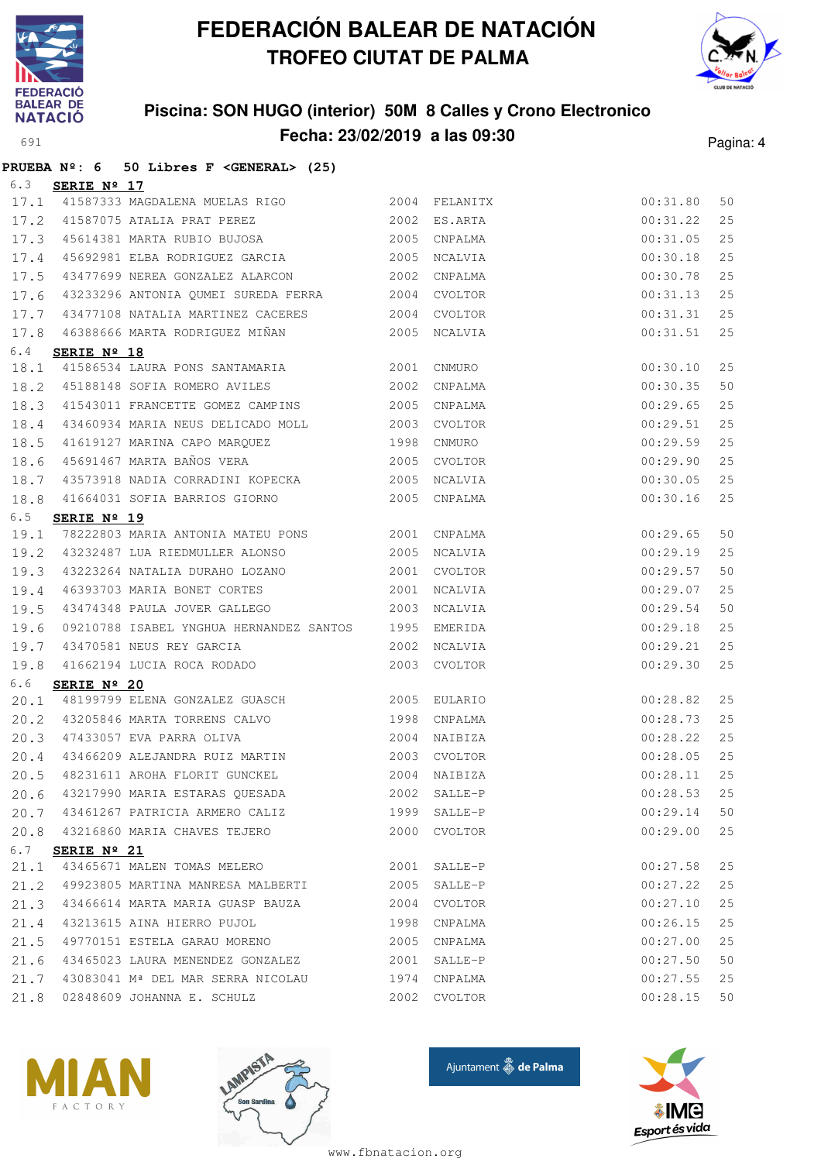



### **Piscina: SON HUGO (interior) 50M 8 Calles y Crono Electronico Fecha: 23/02/2019 a las 09:30** Pagina: 4

|      |                      | PRUEBA $N^{\circ}$ : 6 50 Libres F <general> (25)</general>   |      |              |          |    |
|------|----------------------|---------------------------------------------------------------|------|--------------|----------|----|
| 6.3  | SERIE Nº 17          |                                                               |      |              |          |    |
|      |                      | 17.1 41587333 MAGDALENA MUELAS RIGO 2004 FELANITX             |      |              | 00:31.80 | 50 |
| 17.2 |                      | 41587075 ATALIA PRAT PEREZ                                    |      | 2002 ES.ARTA | 00:31.22 | 25 |
| 17.3 |                      | 45614381 MARTA RUBIO BUJOSA 2005                              |      | CNPALMA      | 00:31.05 | 25 |
| 17.4 |                      | 45692981 ELBA RODRIGUEZ GARCIA 66 2005                        |      | NCALVIA      | 00:30.18 | 25 |
| 17.5 |                      | 43477699 NEREA GONZALEZ ALARCON                               |      | 2002 CNPALMA | 00:30.78 | 25 |
| 17.6 |                      | 43233296 ANTONIA QUMEI SUREDA FERRA 2004 CVOLTOR              |      |              | 00:31.13 | 25 |
| 17.7 |                      | 43477108 NATALIA MARTINEZ CACERES 2004                        |      | CVOLTOR      | 00:31.31 | 25 |
| 17.8 |                      | 46388666 MARTA RODRIGUEZ MIÑAN 66388666 MARTA RODRIGUEZ MIÑAN |      | NCALVIA      | 00:31.51 | 25 |
| 6.4  | SERIE $N^{\circ}$ 18 |                                                               |      |              |          |    |
| 18.1 |                      | 41586534 LAURA PONS SANTAMARIA 2001 CNMURO                    |      |              | 00:30.10 | 25 |
| 18.2 |                      | 45188148 SOFIA ROMERO AVILES 2002                             |      | CNPALMA      | 00:30.35 | 50 |
| 18.3 |                      | 41543011 FRANCETTE GOMEZ CAMPINS 2005                         |      | CNPALMA      | 00:29.65 | 25 |
| 18.4 |                      | 43460934 MARIA NEUS DELICADO MOLL 2003                        |      | CVOLTOR      | 00:29.51 | 25 |
| 18.5 |                      | 41619127 MARINA CAPO MARQUEZ                                  |      | 1998 CNMURO  | 00:29.59 | 25 |
| 18.6 |                      | 45691467 MARTA BAÑOS VERA 2005                                |      | CVOLTOR      | 00:29.90 | 25 |
| 18.7 |                      | 43573918 NADIA CORRADINI KOPECKA 2005                         |      | NCALVIA      | 00:30.05 | 25 |
| 18.8 |                      | 41664031 SOFIA BARRIOS GIORNO 2005 CNPALMA                    |      |              | 00:30.16 | 25 |
| 6.5  | SERIE Nº 19          |                                                               |      |              |          |    |
| 19.1 |                      | 78222803 MARIA ANTONIA MATEU PONS 2001 CNPALMA                |      |              | 00:29.65 | 50 |
| 19.2 |                      | 43232487 LUA RIEDMULLER ALONSO 2005                           |      | NCALVIA      | 00:29.19 | 25 |
| 19.3 |                      | 43223264 NATALIA DURAHO LOZANO $2001$ CVOLTOR                 |      |              | 00:29.57 | 50 |
| 19.4 |                      | 46393703 MARIA BONET CORTES                                   |      | 2001 NCALVIA | 00:29.07 | 25 |
| 19.5 |                      | 43474348 PAULA JOVER GALLEGO                                  |      | 2003 NCALVIA | 00:29.54 | 50 |
| 19.6 |                      | 09210788 ISABEL YNGHUA HERNANDEZ SANTOS 1995                  |      | EMERIDA      | 00:29.18 | 25 |
| 19.7 |                      | 43470581 NEUS REY GARCIA                                      | 2002 | NCALVIA      | 00:29.21 | 25 |
| 19.8 |                      | 41662194 LUCIA ROCA RODADO                                    |      | 2003 CVOLTOR | 00:29.30 | 25 |
| 6.6  | SERIE Nº 20          |                                                               |      |              |          |    |
| 20.1 |                      |                                                               |      |              | 00:28.82 | 25 |
| 20.2 |                      | 43205846 MARTA TORRENS CALVO 1998                             |      | CNPALMA      | 00:28.73 | 25 |
| 20.3 |                      | 47433057 EVA PARRA OLIVA 2004                                 |      | NAIBIZA      | 00:28.22 | 25 |
| 20.4 |                      | 43466209 ALEJANDRA RUIZ MARTIN                                |      | 2003 CVOLTOR | 00:28.05 | 25 |
| 20.5 |                      | 48231611 AROHA FLORIT GUNCKEL                                 | 2004 | NAIBIZA      | 00:28.11 | 25 |
| 20.6 |                      | 43217990 MARIA ESTARAS QUESADA                                | 2002 | SALLE-P      | 00:28.53 | 25 |
| 20.7 |                      | 43461267 PATRICIA ARMERO CALIZ                                | 1999 | SALLE-P      | 00:29.14 | 50 |
| 20.8 |                      | 43216860 MARIA CHAVES TEJERO                                  |      | 2000 CVOLTOR | 00:29.00 | 25 |
| 6.7  | SERIE Nº 21          |                                                               |      |              |          |    |
| 21.1 |                      | 43465671 MALEN TOMAS MELERO                                   | 2001 | SALLE-P      | 00:27.58 | 25 |
| 21.2 |                      | 49923805 MARTINA MANRESA MALBERTI 2005                        |      | SALLE-P      | 00:27.22 | 25 |
| 21.3 |                      | 43466614 MARTA MARIA GUASP BAUZA                              | 2004 | CVOLTOR      | 00:27.10 | 25 |
| 21.4 |                      | 43213615 AINA HIERRO PUJOL                                    | 1998 | CNPALMA      | 00:26.15 | 25 |
| 21.5 |                      | 49770151 ESTELA GARAU MORENO                                  | 2005 | CNPALMA      | 00:27.00 | 25 |
| 21.6 |                      | 43465023 LAURA MENENDEZ GONZALEZ                              | 2001 | SALLE-P      | 00:27.50 | 50 |
| 21.7 |                      | 43083041 Mª DEL MAR SERRA NICOLAU                             | 1974 | CNPALMA      | 00:27.55 | 25 |
| 21.8 |                      | 02848609 JOHANNA E. SCHULZ                                    |      | 2002 CVOLTOR | 00:28.15 | 50 |







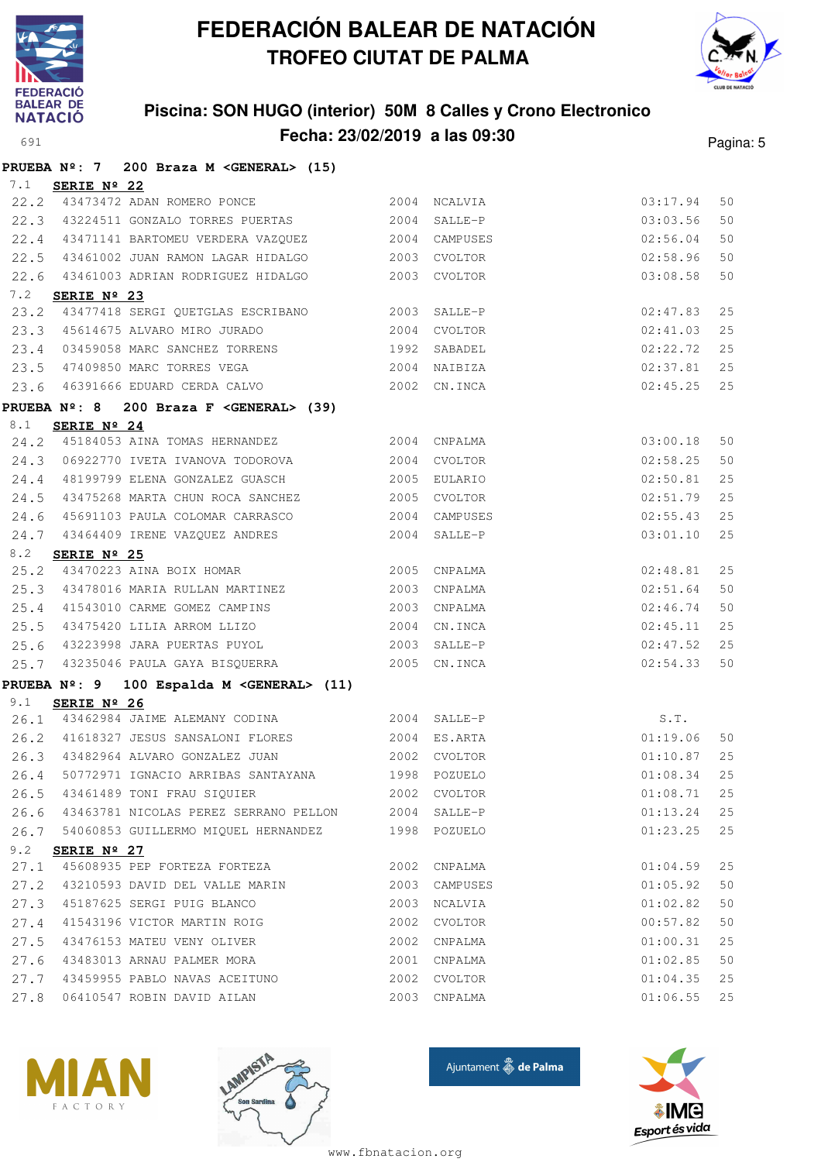



### **Piscina: SON HUGO (interior) 50M 8 Calles y Crono Electronico Fecha: 23/02/2019 a las 09:30** Pagina: 5

|      | 200 Braza M <general> (15)<br/>PRUEBA Nº: 7</general>                           |      |                              |                      |          |
|------|---------------------------------------------------------------------------------|------|------------------------------|----------------------|----------|
| 7.1  | SERIE Nº 22                                                                     |      |                              |                      |          |
|      | 22.2 43473472 ADAN ROMERO PONCE                                                 |      | 2004 NCALVIA                 | 03:17.94             | 50       |
|      | 22.3 43224511 GONZALO TORRES PUERTAS 2004 SALLE-P                               |      |                              | 03:03.56             | 50       |
| 22.4 | 43471141 BARTOMEU VERDERA VAZQUEZ 6004 CAMPUSES                                 |      |                              | 02:56.04             | 50       |
| 22.5 | 43461002 JUAN RAMON LAGAR HIDALGO 66 2003 CVOLTOR                               |      |                              | 02:58.96             | 50       |
| 22.6 | 43461003 ADRIAN RODRIGUEZ HIDALGO                                               |      | 2003 CVOLTOR                 | 03:08.58             | 50       |
| 7.2  | SERIE Nº 23                                                                     |      |                              |                      |          |
| 23.2 | 43477418 SERGI QUETGLAS ESCRIBANO 2003 SALLE-P                                  |      |                              | 02:47.83             | 25       |
|      | 23.3 45614675 ALVARO MIRO JURADO                                                |      | 2004 CVOLTOR                 | 02:41.03             | 25       |
|      | 23.4 03459058 MARC SANCHEZ TORRENS 1992 SABADEL                                 |      |                              | 02:22.72             | 25       |
|      | 23.5 47409850 MARC TORRES VEGA                                                  |      | 2004 NAIBIZA                 | 02:37.81             | 25       |
| 23.6 | 46391666 EDUARD CERDA CALVO 2002 CN.INCA                                        |      |                              | 02:45.25             | 25       |
|      | PRUEBA Nº: 8 200 Braza F <general> (39)</general>                               |      |                              |                      |          |
| 8.1  | SERIE Nº 24                                                                     |      |                              |                      |          |
|      | 24.2 45184053 AINA TOMAS HERNANDEZ                                              |      | 2004 CNPALMA                 | 03:00.18             | 50       |
|      | 24.3 06922770 IVETA IVANOVA TODOROVA                                            |      | 2004 CVOLTOR                 | 02:58.25             | 50       |
|      | 24.4 48199799 ELENA GONZALEZ GUASCH                                             | 2005 | EULARIO                      | 02:50.81             | 25       |
| 24.5 | 43475268 MARTA CHUN ROCA SANCHEZ                                                |      | 2005 CVOLTOR                 | 02:51.79             | 25       |
|      | 24.6 45691103 PAULA COLOMAR CARRASCO                                            |      | 2004 CAMPUSES                | 02:55.43             | 25       |
| 24.7 | 43464409 IRENE VAZQUEZ ANDRES                                                   |      | 2004 SALLE-P                 | 03:01.10             | 25       |
| 8.2  | SERIE Nº 25<br>$\frac{12.116 \text{ N} - 25}{43470223 \text{ AINA BOIX HOMAR}}$ |      |                              |                      |          |
| 25.2 |                                                                                 |      | 2005 CNPALMA                 | 02:48.81             | 25       |
|      | 25.3 43478016 MARIA RULLAN MARTINEZ                                             |      | 2003 CNPALMA                 | 02:51.64             | 50       |
|      | 25.4 41543010 CARME GOMEZ CAMPINS                                               |      | 2003 CNPALMA                 | 02:46.74             | 50       |
|      | 25.5 43475420 LILIA ARROM LLIZO                                                 |      | 2004 CN.INCA                 | 02:45.11             | 25       |
| 25.6 | 43223998 JARA PUERTAS PUYOL                                                     |      | 2003 SALLE-P                 | 02:47.52             | 25       |
| 25.7 | 43235046 PAULA GAYA BISQUERRA                                                   |      | 2005 CN.INCA                 | 02:54.33             | 50       |
|      | PRUEBA Nº: 9 100 Espalda M < GENERAL> (11)                                      |      |                              |                      |          |
| 9.1  | SERIE Nº 26<br>26.1 43462984 JAIME ALEMANY CODINA                               |      |                              |                      |          |
|      | 26.2 41618327 JESUS SANSALONI FLORES 2004 ES.ARTA                               |      | 2004 SALLE-P                 | S.T.                 |          |
|      |                                                                                 |      | 2002 CVOLTOR                 | 01:19.06<br>01:10.87 | 50<br>25 |
|      | 26.3 43482964 ALVARO GONZALEZ JUAN<br>26.4 50772971 IGNACIO ARRIBAS SANTAYANA   |      | 1998 POZUELO                 | 01:08.34             | 25       |
| 26.5 | 43461489 TONI FRAU SIQUIER                                                      |      |                              | 01:08.71             | 25       |
| 26.6 | 43463781 NICOLAS PEREZ SERRANO PELLON                                           |      | 2002 CVOLTOR<br>2004 SALLE-P | 01:13.24             | 25       |
|      | 26.7 54060853 GUILLERMO MIQUEL HERNANDEZ                                        |      | 1998 POZUELO                 | 01:23.25             | 25       |
| 9.2  |                                                                                 |      |                              |                      |          |
| 27.1 | SERIE Nº 27<br>45608935 PEP FORTEZA FORTEZA                                     |      | 2002 CNPALMA                 | 01:04.59             | 25       |
| 27.2 | 43210593 DAVID DEL VALLE MARIN                                                  | 2003 | CAMPUSES                     | 01:05.92             | 50       |
| 27.3 | 45187625 SERGI PUIG BLANCO                                                      | 2003 | NCALVIA                      | 01:02.82             | 50       |
| 27.4 | 41543196 VICTOR MARTIN ROIG                                                     | 2002 | CVOLTOR                      | 00:57.82             | 50       |
| 27.5 | 43476153 MATEU VENY OLIVER                                                      | 2002 | CNPALMA                      | 01:00.31             | 25       |
| 27.6 | 43483013 ARNAU PALMER MORA                                                      | 2001 | CNPALMA                      | 01:02.85             | $50$     |
|      | 27.7 43459955 PABLO NAVAS ACEITUNO                                              |      | 2002 CVOLTOR                 | 01:04.35             | 25       |
| 27.8 | 06410547 ROBIN DAVID AILAN                                                      |      | 2003 CNPALMA                 | 01:06.55             | 25       |
|      |                                                                                 |      |                              |                      |          |







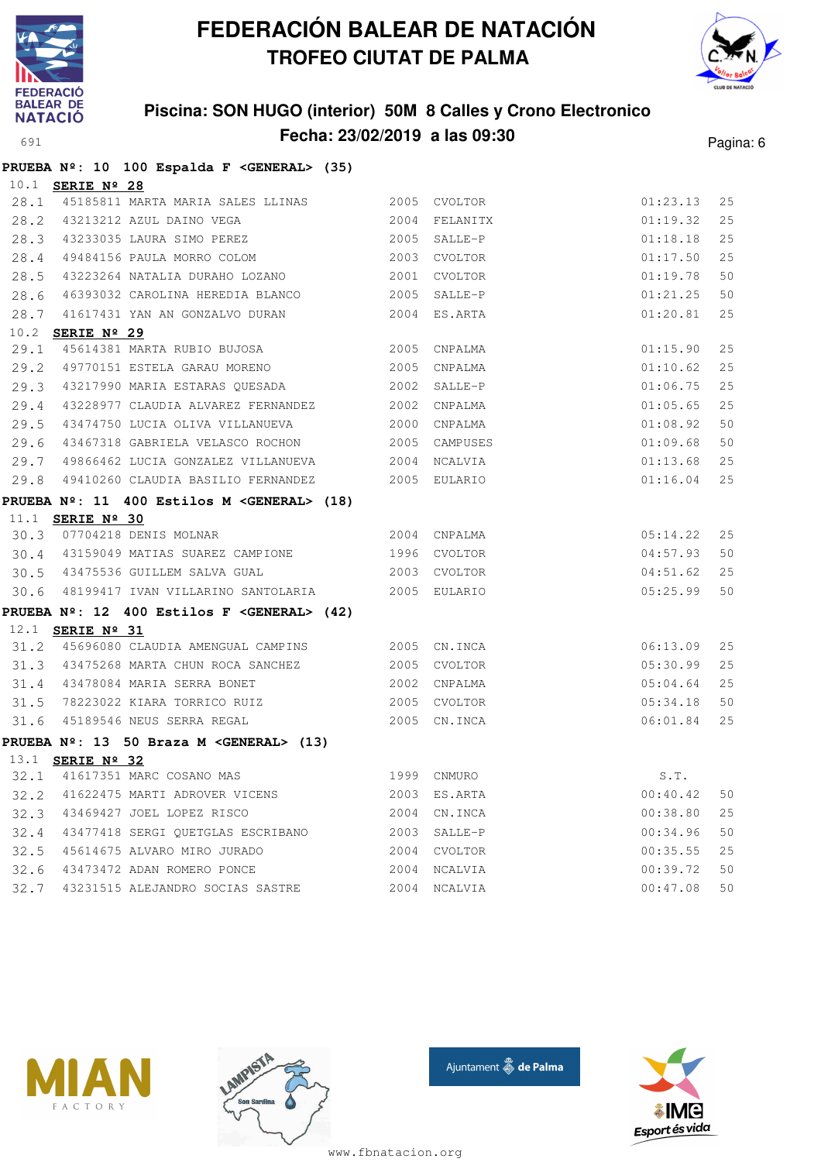



### **Piscina: SON HUGO (interior) 50M 8 Calles y Crono Electronico Fecha: 23/02/2019 a las 09:30** Pagina: 6

|      | PRUEBA Nº: 10 100 Espalda F < GENERAL> (35)          |              |               |             |    |
|------|------------------------------------------------------|--------------|---------------|-------------|----|
|      | 10.1 <b>SERIE Nº 28</b>                              |              |               |             |    |
|      | 28.1 45185811 MARTA MARIA SALES LLINAS 2005 CVOLTOR  |              |               | 01:23.13    | 25 |
|      | 28.2 43213212 AZUL DAINO VEGA                        |              | 2004 FELANITX | 01:19.32    | 25 |
|      | 28.3 43233035 LAURA SIMO PEREZ 2005 SALLE-P          |              |               | 01:18.18    | 25 |
|      | 28.4 49484156 PAULA MORRO COLOM 2003 CVOLTOR         |              |               | 01:17.50    | 25 |
| 28.5 | 43223264 NATALIA DURAHO LOZANO                       |              | 2001 CVOLTOR  | 01:19.78    | 50 |
| 28.6 |                                                      |              |               | 01:21.25    | 50 |
| 28.7 | 41617431 YAN AN GONZALVO DURAN                       |              | 2004 ES.ARTA  | 01:20.81    | 25 |
|      | 10.2 <b>SERIE Nº 29</b>                              |              |               |             |    |
| 29.1 | 45614381 MARTA RUBIO BUJOSA 2005                     |              | CNPALMA       | 01:15.90    | 25 |
|      | 29.2 49770151 ESTELA GARAU MORENO                    | 2005         | CNPALMA       | 01:10.62    | 25 |
|      | 29.3 43217990 MARIA ESTARAS QUESADA 2002             |              | SALLE-P       | 01:06.75    | 25 |
| 29.4 | 43228977 CLAUDIA ALVAREZ FERNANDEZ 2002              |              | CNPALMA       | 01:05.65    | 25 |
|      | 29.5 43474750 LUCIA OLIVA VILLANUEVA 2000            |              | CNPALMA       | 01:08.92    | 50 |
| 29.6 | 43467318 GABRIELA VELASCO ROCHON                     |              | 2005 CAMPUSES | 01:09.68    | 50 |
| 29.7 | 49866462 LUCIA GONZALEZ VILLANUEVA 2004              |              | NCALVIA       | 01:13.68    | 25 |
| 29.8 | 49410260 CLAUDIA BASILIO FERNANDEZ 2005 EULARIO      |              |               | 01:16.04    | 25 |
|      | PRUEBA Nº: 11 400 Estilos M <general> (18)</general> |              |               |             |    |
|      | 11.1 <b>SERIE Nº 30</b>                              |              |               |             |    |
| 30.3 | 07704218 DENIS MOLNAR                                |              | 2004 CNPALMA  | 05:14.22 25 |    |
|      | 30.4 43159049 MATIAS SUAREZ CAMPIONE 1996 CVOLTOR    |              |               | 04:57.93    | 50 |
|      | 30.5 43475536 GUILLEM SALVA GUAL                     | 2003 CVOLTOR |               | 04:51.62    | 25 |
|      | 30.6 48199417 IVAN VILLARINO SANTOLARIA 2005 EULARIO |              |               | 05:25.99    | 50 |
|      | PRUEBA Nº: 12 400 Estilos F < GENERAL> (42)          |              |               |             |    |
|      | 12.1 <b>SERIE Nº 31</b>                              |              |               |             |    |
|      | 31.2 45696080 CLAUDIA AMENGUAL CAMPINS 2005 CN.INCA  |              |               | 06:13.09    | 25 |
|      | 31.3 43475268 MARTA CHUN ROCA SANCHEZ 2005 CVOLTOR   |              |               | 05:30.99    | 25 |
|      | 31.4 43478084 MARIA SERRA BONET                      |              | 2002 CNPALMA  | 05:04.64    | 25 |
| 31.5 |                                                      |              |               | 05:34.18    | 50 |
|      | 31.6 45189546 NEUS SERRA REGAL                       |              | 2005 CN.INCA  | 06:01.84    | 25 |
|      | PRUEBA Nº: 13 50 Braza M <general> (13)</general>    |              |               |             |    |
|      | 13.1 <b>SERIE Nº 32</b>                              |              |               |             |    |
|      | 32.1 41617351 MARC COSANO MAS                        |              | 1999 CNMURO   | S.T.        |    |
| 32.2 | 41622475 MARTI ADROVER VICENS                        | 2003         | ES.ARTA       | 00:40.42    | 50 |
| 32.3 | 43469427 JOEL LOPEZ RISCO                            | 2004         | CN.INCA       | 00:38.80    | 25 |
| 32.4 | 43477418 SERGI QUETGLAS ESCRIBANO                    | 2003         | SALLE-P       | 00:34.96    | 50 |
| 32.5 | 45614675 ALVARO MIRO JURADO                          | 2004         | CVOLTOR       | 00:35.55    | 25 |
| 32.6 | 43473472 ADAN ROMERO PONCE                           | 2004         | NCALVIA       | 00:39.72    | 50 |
| 32.7 | 43231515 ALEJANDRO SOCIAS SASTRE                     | 2004         | NCALVIA       | 00:47.08    | 50 |







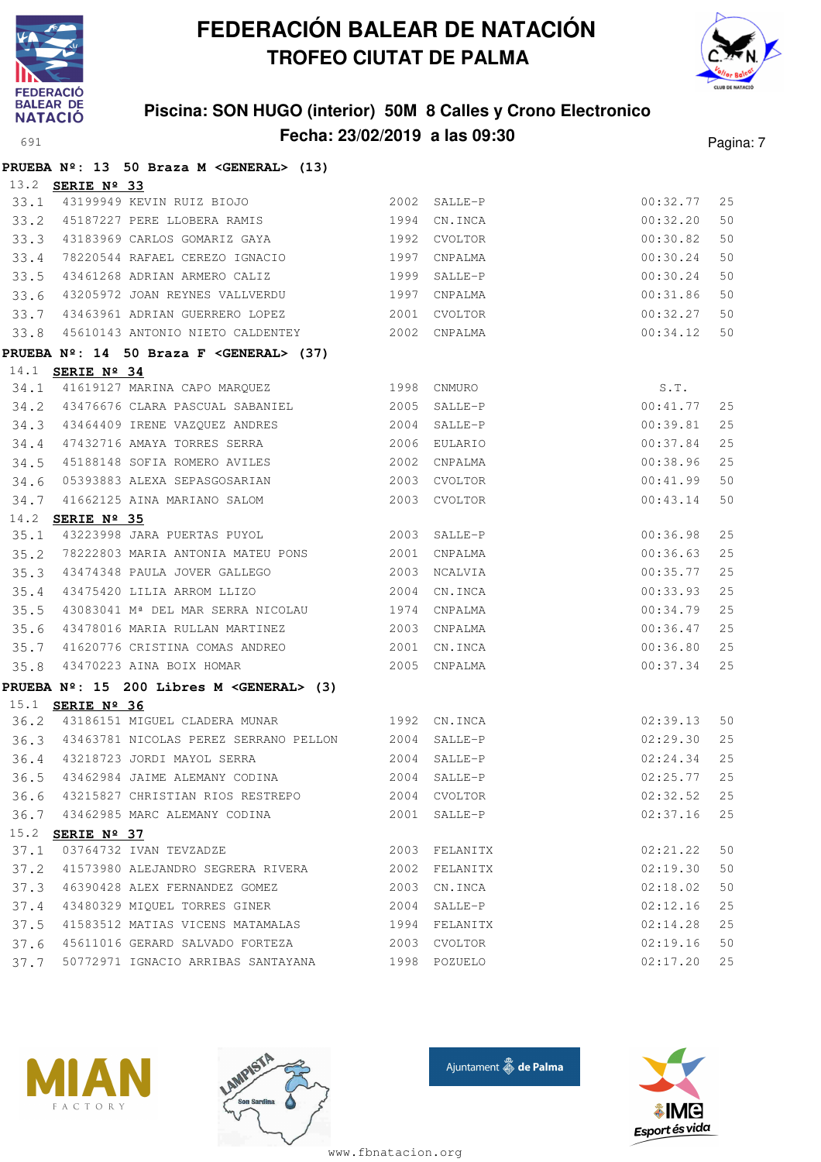



### **Piscina: SON HUGO (interior) 50M 8 Calles y Crono Electronico Fecha: 23/02/2019 a las 09:30** Pagina: 7

|      |                         | PRUEBA Nº: 13 50 Braza M < GENERAL> (13)                               |      |              |             |    |
|------|-------------------------|------------------------------------------------------------------------|------|--------------|-------------|----|
|      | 13.2 <b>SERIE Nº 33</b> |                                                                        |      |              |             |    |
| 33.1 |                         | 43199949 KEVIN RUIZ BIOJO                               2002   SALLE-P |      |              | 00:32.77    | 25 |
| 33.2 |                         | 45187227 PERE LLOBERA RAMIS                                            |      | 1994 CN.INCA | 00:32.20    | 50 |
| 33.3 |                         | 43183969 CARLOS GOMARIZ GAYA 67 1992 CVOLTOR                           |      |              | 00:30.82    | 50 |
| 33.4 |                         | 78220544 RAFAEL CEREZO IGNACIO                                         |      | 1997 CNPALMA | 00:30.24    | 50 |
| 33.5 |                         | 43461268 ADRIAN ARMERO CALIZ                                           |      | 1999 SALLE-P | 00:30.24    | 50 |
| 33.6 |                         | 43205972 JOAN REYNES VALLVERDU                                         |      | 1997 CNPALMA | 00:31.86    | 50 |
| 33.7 |                         | 43463961 ADRIAN GUERRERO LOPEZ 2001                                    |      | CVOLTOR      | 00:32.27    | 50 |
| 33.8 |                         | 45610143 ANTONIO NIETO CALDENTEY 2002 CNPALMA                          |      |              | 00:34.12    | 50 |
|      |                         | PRUEBA Nº: 14 50 Braza F < GENERAL> (37)                               |      |              |             |    |
|      | 14.1 SERIE Nº 34        |                                                                        |      |              |             |    |
| 34.1 |                         | 41619127 MARINA CAPO MARQUEZ 1998 CNMURO                               |      |              | S.T.        |    |
|      |                         | 34.2 43476676 CLARA PASCUAL SABANIEL 2005                              |      | SALLE-P      | 00:41.77    | 25 |
| 34.3 |                         | 43464409 IRENE VAZQUEZ ANDRES                                          |      | 2004 SALLE-P | 00:39.81    | 25 |
| 34.4 |                         | 47432716 AMAYA TORRES SERRA 2006                                       |      | EULARIO      | 00:37.84    | 25 |
| 34.5 |                         | 45188148 SOFIA ROMERO AVILES 2002                                      |      | CNPALMA      | 00:38.96    | 25 |
| 34.6 |                         |                                                                        |      |              | 00:41.99    | 50 |
| 34.7 |                         | 41662125 AINA MARIANO SALOM 2003 CVOLTOR                               |      |              | 00:43.14    | 50 |
| 14.2 | SERIE Nº 35             |                                                                        |      |              |             |    |
| 35.1 |                         | 43223998 JARA PUERTAS PUYOL 2003 SALLE-P                               |      |              | 00:36.98    | 25 |
| 35.2 |                         | 78222803 MARIA ANTONIA MATEU PONS 2001                                 |      | CNPALMA      | 00:36.63    | 25 |
| 35.3 |                         | 43474348 PAULA JOVER GALLEGO 2003                                      |      | NCALVIA      | 00:35.77    | 25 |
| 35.4 |                         | 43475420 LILIA ARROM LLIZO 2004                                        |      | CN.INCA      | 00:33.93    | 25 |
| 35.5 |                         | 43083041 M <sup>ª</sup> DEL MAR SERRA NICOLAU 1974 CNPALMA             |      |              | 00:34.79    | 25 |
| 35.6 |                         | 43478016 MARIA RULLAN MARTINEZ 2003 CNPALMA                            |      |              | 00:36.47    | 25 |
| 35.7 |                         | 41620776 CRISTINA COMAS ANDREO 2001 CN.INCA                            |      |              | 00:36.80    | 25 |
| 35.8 |                         | 43470223 AINA BOIX HOMAR 2005 CNPALMA                                  |      |              | 00:37.34    | 25 |
|      |                         | PRUEBA Nº: 15 200 Libres M < GENERAL> (3)                              |      |              |             |    |
|      | 15.1 <b>SERIE Nº 36</b> |                                                                        |      |              |             |    |
|      |                         | 36.2 43186151 MIGUEL CLADERA MUNAR 1992 CN.INCA                        |      |              | 02:39.13    | 50 |
|      |                         | 36.3 43463781 NICOLAS PEREZ SERRANO PELLON 2004 SALLE-P                |      |              | 02:29.30    | 25 |
|      |                         | 36.4 43218723 JORDI MAYOL SERRA                                        |      | 2004 SALLE-P | 02:24.34    | 25 |
|      |                         | 36.5 43462984 JAIME ALEMANY CODINA                                     |      | 2004 SALLE-P | 02:25.77 25 |    |
| 36.6 |                         | 43215827 CHRISTIAN RIOS RESTREPO                                       | 2004 | CVOLTOR      | 02:32.52    | 25 |
|      |                         | 36.7 43462985 MARC ALEMANY CODINA                                      |      | 2001 SALLE-P | 02:37.16    | 25 |
|      | 15.2 SERIE Nº 37        |                                                                        |      |              |             |    |
| 37.1 |                         | 03764732 IVAN TEVZADZE                                                 | 2003 | FELANITX     | 02:21.22    | 50 |
| 37.2 |                         | 41573980 ALEJANDRO SEGRERA RIVERA                                      | 2002 | FELANITX     | 02:19.30    | 50 |
| 37.3 |                         | 46390428 ALEX FERNANDEZ GOMEZ                                          | 2003 | CN.INCA      | 02:18.02    | 50 |
| 37.4 |                         | 43480329 MIQUEL TORRES GINER                                           |      | 2004 SALLE-P | 02:12.16    | 25 |
| 37.5 |                         | 41583512 MATIAS VICENS MATAMALAS                                       | 1994 | FELANITX     | 02:14.28    | 25 |
| 37.6 |                         | 45611016 GERARD SALVADO FORTEZA                                        | 2003 | CVOLTOR      | 02:19.16    | 50 |
| 37.7 |                         | 50772971 IGNACIO ARRIBAS SANTAYANA                                     |      | 1998 POZUELO | 02:17.20    | 25 |







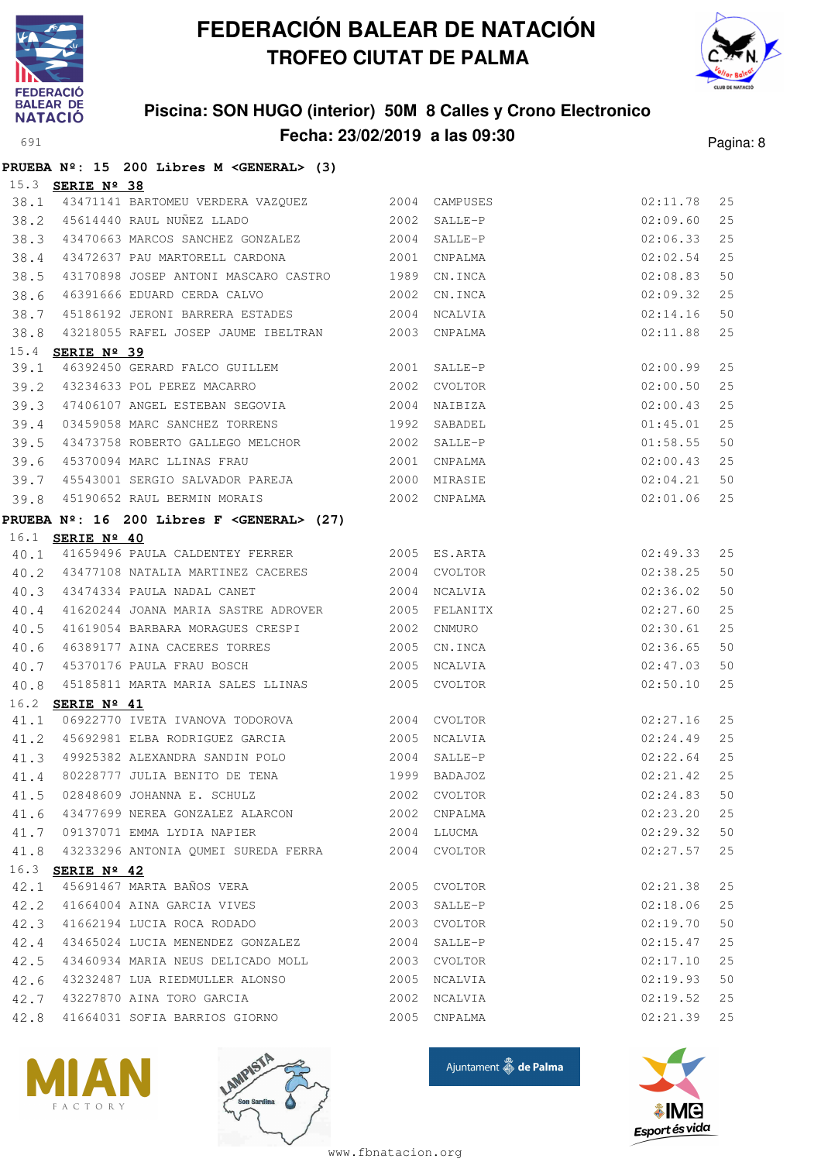

**PRUEBA Nº: 15 200 Libres M <GENERAL> (3)**

# **FEDERACIÓN BALEAR DE NATACIÓN TROFEO CIUTAT DE PALMA**



### **Piscina: SON HUGO (interior) 50M 8 Calles y Crono Electronico Fecha: 23/02/2019 a las 09:30** Pagina: 8

|      | 15.3 <b>SERIE Nº 38</b> |                                                                                       |             |              |                      |    |
|------|-------------------------|---------------------------------------------------------------------------------------|-------------|--------------|----------------------|----|
| 38.1 |                         | 43471141 BARTOMEU VERDERA VAZQUEZ 2004 CAMPUSES                                       |             |              | 02:11.78             | 25 |
| 38.2 |                         | 45614440 RAUL NUÑEZ LLADO 2002                                                        |             | SALLE-P      | 02:09.60             | 25 |
| 38.3 |                         | 43470663 MARCOS SANCHEZ GONZALEZ 2004                                                 |             | SALLE-P      | 02:06.33             | 25 |
| 38.4 |                         | 43472637 PAU MARTORELL CARDONA                                                        | 2001        | CNPALMA      | 02:02.54             | 25 |
| 38.5 |                         | 43170898 JOSEP ANTONI MASCARO CASTRO 1989                                             |             | CN.INCA      | 02:08.83             | 50 |
| 38.6 |                         | 46391666 EDUARD CERDA CALVO 2002                                                      |             | CN.INCA      | 02:09.32             | 25 |
| 38.7 |                         | 45186192 JERONI BARRERA ESTADES 2004                                                  |             | NCALVIA      | 02:14.16             | 50 |
| 38.8 |                         | 43218055 RAFEL JOSEP JAUME IBELTRAN 2003 CNPALMA                                      |             |              | 02:11.88             | 25 |
|      | 15.4 <b>SERIE Nº 39</b> |                                                                                       |             |              |                      |    |
| 39.1 |                         | 46392450 GERARD FALCO GUILLEM 2001 SALLE-P                                            |             |              | 02:00.99             | 25 |
| 39.2 |                         | 43234633 POL PEREZ MACARRO 2002                                                       |             | CVOLTOR      | 02:00.50             | 25 |
| 39.3 |                         | 47406107 ANGEL ESTEBAN SEGOVIA 2004                                                   |             | NAIBIZA      | 02:00.43             | 25 |
| 39.4 |                         | 03459058 MARC SANCHEZ TORRENS                                                         | 1992        | SABADEL      | 01:45.01             | 25 |
| 39.5 |                         |                                                                                       |             |              | 01:58.55             | 50 |
| 39.6 |                         | 45370094 MARC LLINAS FRAU 2001                                                        |             | CNPALMA      | 02:00.43             | 25 |
| 39.7 |                         | 45543001 SERGIO SALVADOR PAREJA 2000                                                  |             | MIRASIE      | 02:04.21             | 50 |
| 39.8 |                         | 45190652 RAUL BERMIN MORAIS                                                           |             | 2002 CNPALMA | 02:01.06             | 25 |
|      |                         | PRUEBA $N^{\circ}$ : 16 200 Libres F < GENERAL> (27)                                  |             |              |                      |    |
|      | 16.1 <b>SERIE Nº 40</b> |                                                                                       |             |              |                      |    |
| 40.1 |                         | 41659496 PAULA CALDENTEY FERRER 2005 ES.ARTA                                          |             |              | 02:49.33             | 25 |
| 40.2 |                         | 43477108 NATALIA MARTINEZ CACERES 2004 CVOLTOR                                        |             |              | 02:38.25             | 50 |
| 40.3 |                         | 43474334 PAULA NADAL CANET                                                            |             | 2004 NCALVIA | 02:36.02             | 50 |
| 40.4 |                         | 41620244 JOANA MARIA SASTRE ADROVER 2005                                              |             | FELANITX     | 02:27.60             | 25 |
| 40.5 |                         | 41619054 BARBARA MORAGUES CRESPI 2002                                                 |             | CNMURO       | 02:30.61             | 25 |
| 40.6 |                         | 46389177 AINA CACERES TORRES                                                          | 2005        | CN.INCA      | 02:36.65             | 50 |
| 40.7 |                         | 45370176 PAULA FRAU BOSCH                                                             | 2005        | NCALVIA      | 02:47.03             | 50 |
| 40.8 |                         | 45185811 MARTA MARIA SALES LLINAS 2005 CVOLTOR                                        |             |              | 02:50.10             | 25 |
|      | 16.2 SERIE Nº 41        |                                                                                       |             |              |                      |    |
| 41.1 |                         | 06922770 IVETA IVANOVA TODOROVA 2004 CVOLTOR                                          |             |              | 02:27.16             | 25 |
|      |                         | 41.2 45692981 ELBA RODRIGUEZ GARCIA                                                   | 2005        | NCALVIA      | 02:24.49             | 25 |
| 41.3 |                         | 49925382 ALEXANDRA SANDIN POLO                                                        |             | 2004 SALLE-P | 02:22.64             | 25 |
| 41.4 |                         | 80228777 JULIA BENITO DE TENA 60228777 JULIA BENITO DE TENA                           |             |              | 02:21.42             | 25 |
|      |                         | 41.5 02848609 JOHANNA E. SCHULZ 2002 CVOLTOR                                          |             | 02:24.83     |                      | 50 |
|      |                         | 41.6 43477699 NEREA GONZALEZ ALARCON                                                  |             | 2002 CNPALMA | 02:23.20             | 25 |
|      |                         | 41.7 09137071 EMMA LYDIA NAPIER                                                       | 2004 LLUCMA |              | 02:29.32             | 50 |
|      |                         | 41.8 43233296 ANTONIA QUMEI SUREDA FERRA 2004 CVOLTOR                                 |             |              | 02:27.57             | 25 |
|      | 16.3 SERIE Nº 42        | 45691467 MARTA BAÑOS VERA                                                             |             | 2005 CVOLTOR |                      | 25 |
| 42.1 |                         | 42.2 41664004 AINA GARCIA VIVES                                                       |             | 2003 SALLE-P | 02:21.38<br>02:18.06 | 25 |
|      |                         |                                                                                       |             | 2003 CVOLTOR | 02:19.70             | 50 |
|      |                         | 42.3 41662194 LUCIA ROCA RODADO<br>42.4 43465024 LUCIA MENENDEZ GONZALEZ 2004 SALLE-P |             |              | 02:15.47             | 25 |
| 42.5 |                         | 43460934 MARIA NEUS DELICADO MOLL 2003 CVOLTOR                                        |             |              | 02:17.10             | 25 |
|      |                         | 42.6 43232487 LUA RIEDMULLER ALONSO                                                   |             | 2005 NCALVIA | 02:19.93             | 50 |
| 42.7 |                         | 43227870 AINA TORO GARCIA                                                             | 2002        | NCALVIA      | 02:19.52             | 25 |
| 42.8 |                         | 41664031 SOFIA BARRIOS GIORNO                                                         |             | 2005 CNPALMA | 02:21.39 25          |    |
|      |                         |                                                                                       |             |              |                      |    |







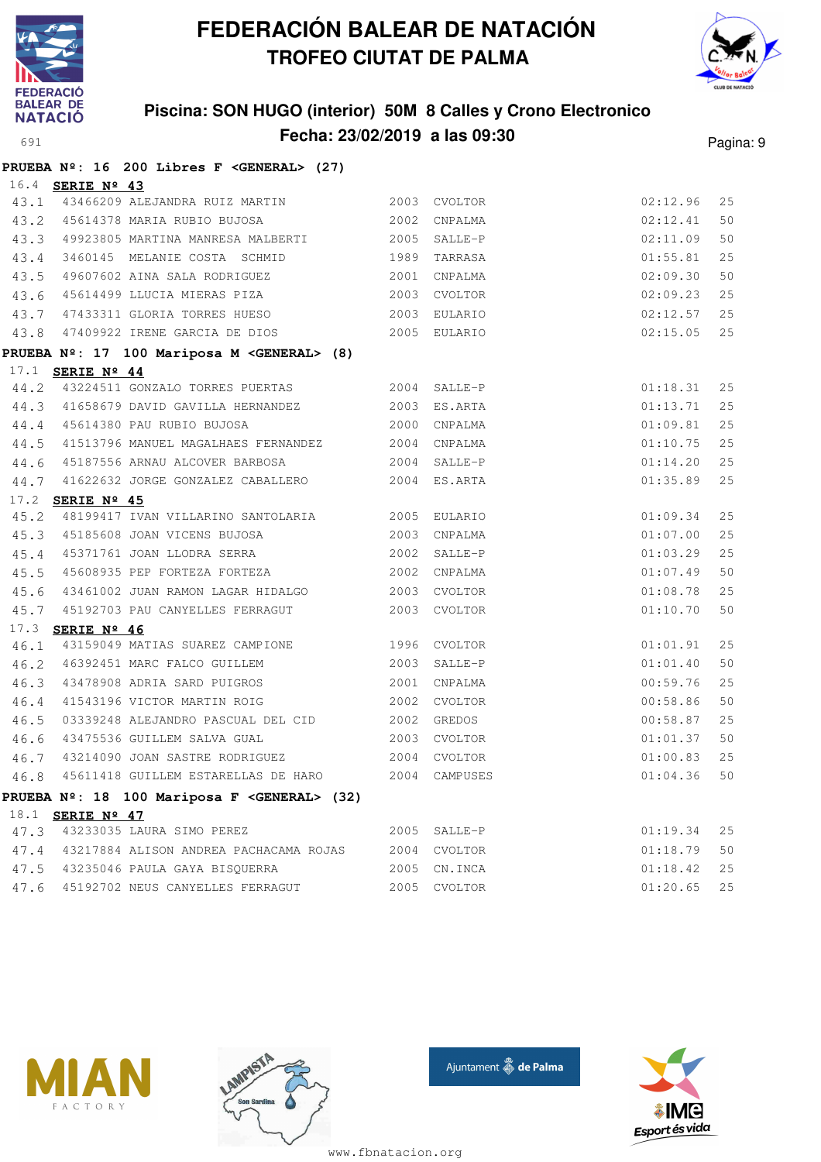



### **Piscina: SON HUGO (interior) 50M 8 Calles y Crono Electronico Fecha: 23/02/2019 a las 09:30** Pagina: 9

|      | PRUEBA Nº: 16 200 Libres F < GENERAL> (27)                            |      |              |          |    |
|------|-----------------------------------------------------------------------|------|--------------|----------|----|
|      | 16.4 SERIE Nº 43                                                      |      |              |          |    |
|      | 43.1 43466209 ALEJANDRA RUIZ MARTIN 2003 CVOLTOR                      |      |              | 02:12.96 | 25 |
|      | 43.2 45614378 MARIA RUBIO BUJOSA 2002                                 |      | CNPALMA      | 02:12.41 | 50 |
|      | 43.3 49923805 MARTINA MANRESA MALBERTI 2005                           |      | SALLE-P      | 02:11.09 | 50 |
|      | 43.4 3460145 MELANIE COSTA SCHMID 1989                                |      | TARRASA      | 01:55.81 | 25 |
| 43.5 | 49607602 AINA SALA RODRIGUEZ                                          | 2001 | CNPALMA      | 02:09.30 | 50 |
| 43.6 |                                                                       |      |              | 02:09.23 | 25 |
| 43.7 | 47433311 GLORIA TORRES HUESO 2003                                     |      | EULARIO      | 02:12.57 | 25 |
|      | 43.8 47409922 IRENE GARCIA DE DIOS 2005 EULARIO                       |      |              | 02:15.05 | 25 |
|      | PRUEBA Nº: 17 100 Mariposa M < GENERAL> (8)                           |      |              |          |    |
|      | 17.1 SERIE Nº 44                                                      |      |              |          |    |
| 44.2 | 43224511 GONZALO TORRES PUERTAS 2004 SALLE-P                          |      |              | 01:18.31 | 25 |
|      | 44.3 41658679 DAVID GAVILLA HERNANDEZ 2003                            |      | ES.ARTA      | 01:13.71 | 25 |
|      | 44.4 45614380 PAU RUBIO BUJOSA                                        | 2000 | CNPALMA      | 01:09.81 | 25 |
| 44.5 | 41513796 MANUEL MAGALHAES FERNANDEZ 2004 CNPALMA                      |      |              | 01:10.75 | 25 |
|      | 44.6 45187556 ARNAU ALCOVER BARBOSA 2004                              |      | SALLE-P      | 01:14.20 | 25 |
|      | 44.7 41622632 JORGE GONZALEZ CABALLERO 2004 ES.ARTA                   |      |              | 01:35.89 | 25 |
|      | 17.2 SERIE Nº 45                                                      |      |              |          |    |
| 45.2 | 48199417 IVAN VILLARINO SANTOLARIA 2005 EULARIO                       |      |              | 01:09.34 | 25 |
|      | 45.3 45185608 JOAN VICENS BUJOSA 2003                                 |      | CNPALMA      | 01:07.00 | 25 |
| 45.4 | 45371761 JOAN LLODRA SERRA 2002                                       |      | SALLE-P      | 01:03.29 | 25 |
| 45.5 | 45608935 PEP FORTEZA FORTEZA 2002                                     |      | CNPALMA      | 01:07.49 | 50 |
| 45.6 | 43461002 JUAN RAMON LAGAR HIDALGO 2003 CVOLTOR                        |      |              | 01:08.78 | 25 |
|      | 45.7 45192703 PAU CANYELLES FERRAGUT 2003 CVOLTOR                     |      |              | 01:10.70 | 50 |
| 17.3 | SERIE Nº 46                                                           |      |              |          |    |
| 46.1 | 43159049 MATIAS SUAREZ CAMPIONE 1996 CVOLTOR                          |      |              | 01:01.91 | 25 |
| 46.2 | 46392451 MARC FALCO GUILLEM 2003                                      |      | SALLE-P      | 01:01.40 | 50 |
| 46.3 | 43478908 ADRIA SARD PUIGROS                                           | 2001 | CNPALMA      | 00:59.76 | 25 |
| 46.4 | 2002<br>41543196 VICTOR MARTIN ROIG                                   |      | CVOLTOR      | 00:58.86 | 50 |
| 46.5 | 03339248 ALEJANDRO PASCUAL DEL CID 2002 GREDOS                        |      |              | 00:58.87 | 25 |
| 46.6 | 43475536 GUILLEM SALVA GUAL 2003 CVOLTOR                              |      |              | 01:01.37 | 50 |
| 46.7 | 43214090 JOAN SASTRE RODRIGUEZ<br>45611418 GUILLEM ESTARELLAS DE HARO | 2004 | CVOLTOR      | 01:00.83 | 25 |
| 46.8 |                                                                       | 2004 | CAMPUSES     | 01:04.36 | 50 |
|      | PRUEBA Nº: 18 100 Mariposa F < GENERAL> (32)                          |      |              |          |    |
|      | 18.1 SERIE Nº 47                                                      |      |              |          |    |
|      | 47.3 43233035 LAURA SIMO PEREZ                                        |      | 2005 SALLE-P | 01:19.34 | 25 |
| 47.4 | 43217884 ALISON ANDREA PACHACAMA ROJAS                                | 2004 | CVOLTOR      | 01:18.79 | 50 |
| 47.5 | 43235046 PAULA GAYA BISQUERRA                                         | 2005 | CN.INCA      | 01:18.42 | 25 |
| 47.6 | 45192702 NEUS CANYELLES FERRAGUT                                      | 2005 | CVOLTOR      | 01:20.65 | 25 |







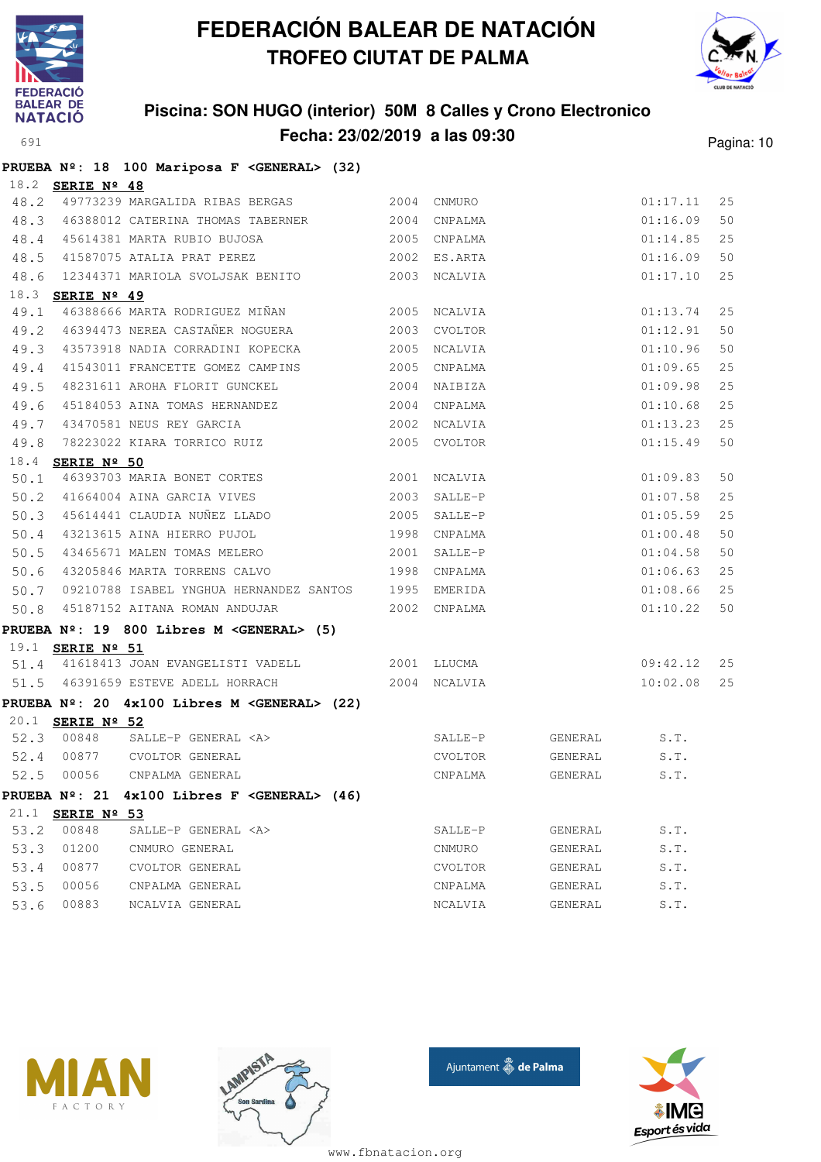



### **Piscina: SON HUGO (interior) 50M 8 Calles y Crono Electronico Fecha: 23/02/2019 a las 09:30** Pagina: 10

|      |                         | PRUEBA Nº: 18 100 Mariposa F < GENERAL> (32)          |      |              |              |          |    |
|------|-------------------------|-------------------------------------------------------|------|--------------|--------------|----------|----|
|      | 18.2 <b>SERIE Nº 48</b> |                                                       |      |              |              |          |    |
| 48.2 |                         | 49773239 MARGALIDA RIBAS BERGAS 2004 CNMURO           |      |              |              | 01:17.11 | 25 |
| 48.3 |                         | 46388012 CATERINA THOMAS TABERNER 2004                |      | CNPALMA      |              | 01:16.09 | 50 |
| 48.4 |                         | 45614381 MARTA RUBIO BUJOSA                           |      | 2005 CNPALMA |              | 01:14.85 | 25 |
| 48.5 |                         | 41587075 ATALIA PRAT PEREZ                            |      | 2002 ES.ARTA |              | 01:16.09 | 50 |
|      |                         | 48.6 12344371 MARIOLA SVOLJSAK BENITO                 |      | 2003 NCALVIA |              | 01:17.10 | 25 |
|      | 18.3 <b>SERIE Nº 49</b> |                                                       |      |              |              |          |    |
| 49.1 |                         | 46388666 MARTA RODRIGUEZ MIÑAN                        | 2005 | NCALVIA      |              | 01:13.74 | 25 |
| 49.2 |                         | 46394473 NEREA CASTAÑER NOGUERA                       | 2003 | CVOLTOR      |              | 01:12.91 | 50 |
| 49.3 |                         | 43573918 NADIA CORRADINI KOPECKA                      | 2005 | NCALVIA      |              | 01:10.96 | 50 |
| 49.4 |                         | 41543011 FRANCETTE GOMEZ CAMPINS                      | 2005 | CNPALMA      |              | 01:09.65 | 25 |
| 49.5 |                         | 48231611 AROHA FLORIT GUNCKEL                         | 2004 | NAIBIZA      |              | 01:09.98 | 25 |
| 49.6 |                         | 45184053 AINA TOMAS HERNANDEZ                         | 2004 | CNPALMA      |              | 01:10.68 | 25 |
| 49.7 |                         | 43470581 NEUS REY GARCIA                              |      | 2002 NCALVIA |              | 01:13.23 | 25 |
| 49.8 |                         | 78223022 KIARA TORRICO RUIZ                           |      | 2005 CVOLTOR |              | 01:15.49 | 50 |
|      | 18.4 <b>SERIE Nº 50</b> |                                                       |      |              |              |          |    |
| 50.1 |                         | 46393703 MARIA BONET CORTES                           | 2001 | NCALVIA      |              | 01:09.83 | 50 |
| 50.2 |                         | 41664004 AINA GARCIA VIVES                            | 2003 | SALLE-P      |              | 01:07.58 | 25 |
| 50.3 |                         | 45614441 CLAUDIA NUÑEZ LLADO                          | 2005 | SALLE-P      |              | 01:05.59 | 25 |
| 50.4 |                         | 43213615 AINA HIERRO PUJOL                            |      | 1998 CNPALMA |              | 01:00.48 | 50 |
| 50.5 |                         | 43465671 MALEN TOMAS MELERO                           | 2001 | SALLE-P      |              | 01:04.58 | 50 |
| 50.6 |                         | 43205846 MARTA TORRENS CALVO                          |      | 1998 CNPALMA |              | 01:06.63 | 25 |
| 50.7 |                         | 09210788 ISABEL YNGHUA HERNANDEZ SANTOS 1995 EMERIDA  |      |              |              | 01:08.66 | 25 |
| 50.8 |                         | 45187152 AITANA ROMAN ANDUJAR                         |      | 2002 CNPALMA |              | 01:10.22 | 50 |
|      |                         | PRUEBA Nº: 19 800 Libres M <general> (5)</general>    |      |              |              |          |    |
|      | 19.1 <b>SERIE Nº 51</b> |                                                       |      |              |              |          |    |
|      |                         | 51.4 41618413 JOAN EVANGELISTI VADELL                 |      | 2001 LLUCMA  |              | 09:42.12 | 25 |
|      |                         | 51.5 46391659 ESTEVE ADELL HORRACH                    |      | 2004 NCALVIA |              | 10:02.08 | 25 |
|      |                         | PRUEBA Nº: 20 4x100 Libres M <general> (22)</general> |      |              |              |          |    |
|      | 20.1 <b>SERIE Nº 52</b> |                                                       |      |              |              |          |    |
|      |                         | 52.3 00848 SALLE-P GENERAL <a></a>                    |      | SALLE-P      | GENERAL S.T. |          |    |
|      |                         | 52.4 00877 CVOLTOR GENERAL                            |      | CVOLTOR      | GENERAL      | S.T.     |    |
| 52.5 | 00056                   | CNPALMA GENERAL                                       |      | CNPALMA      | GENERAL      | S.T.     |    |
|      |                         | PRUEBA Nº: 21 4x100 Libres F < GENERAL> (46)          |      |              |              |          |    |
|      | 21.1 SERIE Nº 53        |                                                       |      |              |              |          |    |
| 53.2 | 00848                   | SALLE-P GENERAL <a></a>                               |      | SALLE-P      | GENERAL      | S.T.     |    |
| 53.3 | 01200                   | CNMURO GENERAL                                        |      | CNMURO       | GENERAL      | S.T.     |    |
| 53.4 | 00877                   | CVOLTOR GENERAL                                       |      | CVOLTOR      | GENERAL      | S.T.     |    |
| 53.5 | 00056                   | CNPALMA GENERAL                                       |      | CNPALMA      | GENERAL      | S.T.     |    |
| 53.6 | 00883                   | NCALVIA GENERAL                                       |      | NCALVIA      | GENERAL      | S.T.     |    |







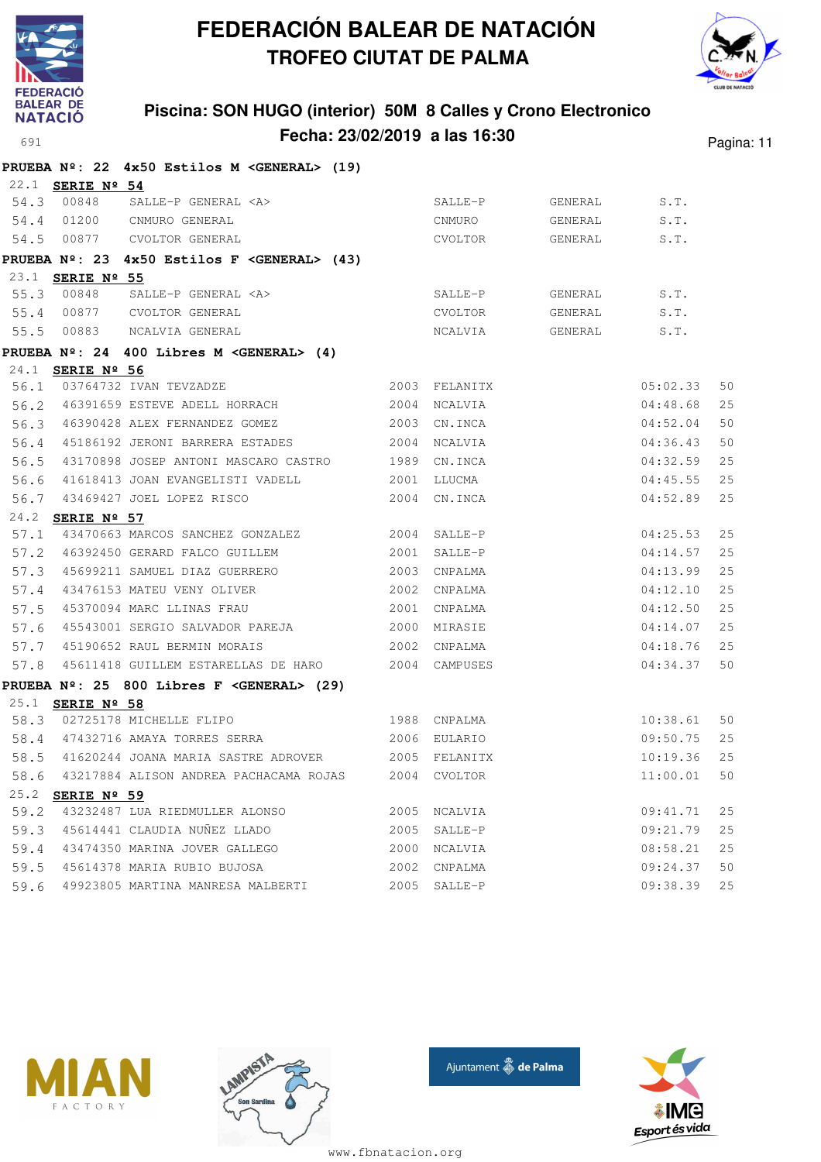



### **Piscina: SON HUGO (interior) 50M 8 Calles y Crono Electronico Fecha: 23/02/2019 a las 16:30** Pagina: 11

|      |                         | PRUEBA Nº: 22 4x50 Estilos M < GENERAL> (19)                 |      |               |                 |          |    |
|------|-------------------------|--------------------------------------------------------------|------|---------------|-----------------|----------|----|
|      | 22.1 SERIE Nº 54        |                                                              |      |               |                 |          |    |
| 54.3 | 00848                   | SALLE-P GENERAL <a></a>                                      |      | SALLE-P       | GENERAL         | S.T.     |    |
|      | 54.4 01200              | CNMURO GENERAL                                               |      | CNMURO        | GENERAL         | S.T.     |    |
| 54.5 | 00877                   | CVOLTOR GENERAL                                              |      |               | CVOLTOR GENERAL | S.T.     |    |
|      |                         | PRUEBA Nº: 23 4x50 Estilos F <general> (43)</general>        |      |               |                 |          |    |
|      | 23.1 SERIE Nº 55        |                                                              |      |               |                 |          |    |
| 55.3 | 00848                   | SALLE-P GENERAL <a></a>                                      |      | SALLE-P       | GENERAL S.T.    |          |    |
|      | 55.4 00877              | CVOLTOR GENERAL                                              |      | CVOLTOR       | GENERAL S.T.    |          |    |
| 55.5 | 00883                   | NCALVIA GENERAL                                              |      | NCALVIA       | GENERAL S.T.    |          |    |
|      |                         | PRUEBA $N^{\circ}$ : 24 400 Libres M <general> (4)</general> |      |               |                 |          |    |
|      | 24.1 SERIE Nº 56        |                                                              |      |               |                 |          |    |
| 56.1 |                         | 03764732 IVAN TEVZADZE                                       |      | 2003 FELANITX |                 | 05:02.33 | 50 |
| 56.2 |                         | 46391659 ESTEVE ADELL HORRACH                                |      | 2004 NCALVIA  |                 | 04:48.68 | 25 |
| 56.3 |                         | 46390428 ALEX FERNANDEZ GOMEZ                                |      | 2003 CN.INCA  |                 | 04:52.04 | 50 |
| 56.4 |                         | 45186192 JERONI BARRERA ESTADES                              |      | 2004 NCALVIA  |                 | 04:36.43 | 50 |
| 56.5 |                         | 43170898 JOSEP ANTONI MASCARO CASTRO 1989 CN.INCA            |      |               |                 | 04:32.59 | 25 |
| 56.6 |                         | 41618413 JOAN EVANGELISTI VADELL                             | 2001 | LLUCMA        |                 | 04:45.55 | 25 |
| 56.7 |                         | 43469427 JOEL LOPEZ RISCO                                    |      | 2004 CN.INCA  |                 | 04:52.89 | 25 |
|      | 24.2 SERIE Nº 57        |                                                              |      |               |                 |          |    |
| 57.1 |                         | 43470663 MARCOS SANCHEZ GONZALEZ                             |      | 2004 SALLE-P  |                 | 04:25.53 | 25 |
| 57.2 |                         | 46392450 GERARD FALCO GUILLEM                                | 2001 | SALLE-P       |                 | 04:14.57 | 25 |
| 57.3 |                         | 45699211 SAMUEL DIAZ GUERRERO                                | 2003 | CNPALMA       |                 | 04:13.99 | 25 |
|      |                         | 57.4 43476153 MATEU VENY OLIVER                              |      | 2002 CNPALMA  |                 | 04:12.10 | 25 |
| 57.5 |                         | 45370094 MARC LLINAS FRAU                                    | 2001 | CNPALMA       |                 | 04:12.50 | 25 |
| 57.6 |                         | 45543001 SERGIO SALVADOR PAREJA                              | 2000 | MIRASIE       |                 | 04:14.07 | 25 |
| 57.7 |                         | 45190652 RAUL BERMIN MORAIS                                  |      | 2002 CNPALMA  |                 | 04:18.76 | 25 |
| 57.8 |                         | 45611418 GUILLEM ESTARELLAS DE HARO 2004 CAMPUSES            |      |               |                 | 04:34.37 | 50 |
|      |                         | PRUEBA $N^{\circ}$ : 25 800 Libres F < GENERAL> (29)         |      |               |                 |          |    |
|      | 25.1 <b>SERIE Nº 58</b> |                                                              |      |               |                 |          |    |
| 58.3 |                         | 02725178 MICHELLE FLIPO                                      |      | 1988 CNPALMA  |                 | 10:38.61 | 50 |
|      |                         | 58.4 47432716 AMAYA TORRES SERRA                             |      | 2006 EULARIO  |                 | 09:50.75 | 25 |
| 58.5 |                         | 41620244 JOANA MARIA SASTRE ADROVER 2005 FELANITX            |      |               |                 | 10:19.36 | 25 |
| 58.6 |                         | 43217884 ALISON ANDREA PACHACAMA ROJAS                       |      | 2004 CVOLTOR  |                 | 11:00.01 | 50 |
| 25.2 | SERIE Nº 59             |                                                              |      |               |                 |          |    |
| 59.2 |                         | 43232487 LUA RIEDMULLER ALONSO                               | 2005 | NCALVIA       |                 | 09:41.71 | 25 |
| 59.3 |                         | 45614441 CLAUDIA NUÑEZ LLADO                                 | 2005 | SALLE-P       |                 | 09:21.79 | 25 |
| 59.4 |                         | 43474350 MARINA JOVER GALLEGO                                | 2000 | NCALVIA       |                 | 08:58.21 | 25 |
| 59.5 |                         | 45614378 MARIA RUBIO BUJOSA                                  | 2002 | CNPALMA       |                 | 09:24.37 | 50 |
| 59.6 |                         | 49923805 MARTINA MANRESA MALBERTI                            | 2005 | SALLE-P       |                 | 09:38.39 | 25 |







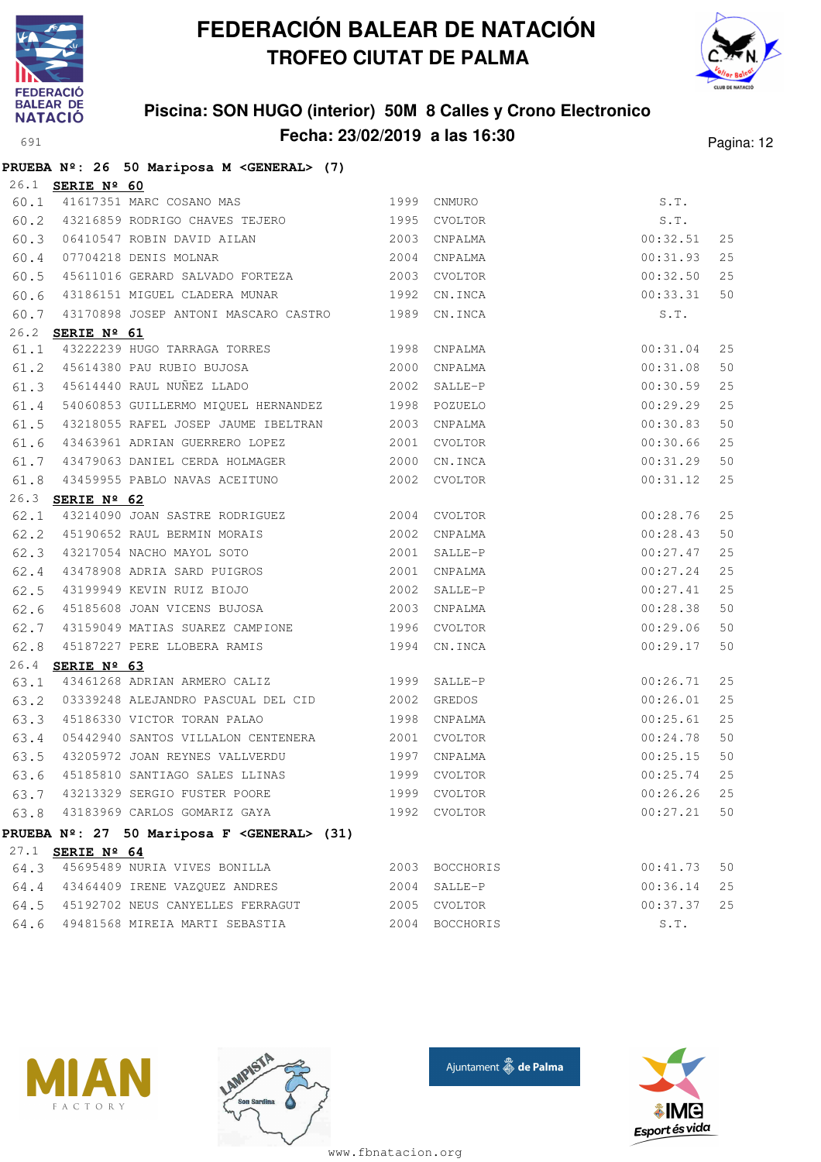



### **Piscina: SON HUGO (interior) 50M 8 Calles y Crono Electronico Fecha: 23/02/2019 a las 16:30** Pagina: 12

|  |  |  | PRUEBA Nº: 26 50 Mariposa M <general> (7)</general> |  |
|--|--|--|-----------------------------------------------------|--|

|      | 26.1 <b>SERIE Nº 60</b> |                                                   |                |             |    |
|------|-------------------------|---------------------------------------------------|----------------|-------------|----|
| 60.1 |                         | <u>ERIE Nº 6U</u><br>41617351 MARC COSANO MAS     | 1999 CNMURO    | S.T.        |    |
| 60.2 |                         | 43216859 RODRIGO CHAVES TEJERO 1995 CVOLTOR       |                | S.T.        |    |
| 60.3 |                         |                                                   |                | 00:32.51    | 25 |
| 60.4 |                         | 2004 CNPALMA<br>07704218 DENIS MOLNAR             |                | 00:31.93    | 25 |
| 60.5 |                         | 45611016 GERARD SALVADO FORTEZA 2003 CVOLTOR      |                | 00:32.50    | 25 |
| 60.6 |                         | 43186151 MIGUEL CLADERA MUNAR 1992                | CN.INCA        | 00:33.31    | 50 |
| 60.7 |                         | 43170898 JOSEP ANTONI MASCARO CASTRO 1989 CN.INCA |                | S.T.        |    |
|      | 26.2 SERIE Nº 61        |                                                   |                |             |    |
| 61.1 |                         | 43222239 HUGO TARRAGA TORRES 1998 CNPALMA         |                | 00:31.04    | 25 |
| 61.2 |                         | 45614380 PAU RUBIO BUJOSA 2000                    | CNPALMA        | 00:31.08    | 50 |
|      |                         | 61.3 45614440 RAUL NUÑEZ LLADO 2002               | SALLE-P        | 00:30.59    | 25 |
| 61.4 |                         | 54060853 GUILLERMO MIQUEL HERNANDEZ 1998 POZUELO  |                | 00:29.29    | 25 |
| 61.5 |                         | 43218055 RAFEL JOSEP JAUME IBELTRAN 2003 CNPALMA  |                | 00:30.83    | 50 |
| 61.6 |                         | 43463961 ADRIAN GUERRERO LOPEZ 2001 CVOLTOR       |                | 00:30.66    | 25 |
| 61.7 |                         | 43479063 DANIEL CERDA HOLMAGER 2000               | CN.INCA        | 00:31.29    | 50 |
| 61.8 |                         |                                                   |                | 00:31.12    | 25 |
|      | 26.3 SERIE Nº 62        |                                                   |                |             |    |
| 62.1 |                         | 43214090 JOAN SASTRE RODRIGUEZ 2004 CVOLTOR       |                | 00:28.76    | 25 |
| 62.2 |                         | 45190652 RAUL BERMIN MORAIS 2002                  | CNPALMA        | 00:28.43    | 50 |
| 62.3 |                         | 43217054 NACHO MAYOL SOTO 2001                    | SALLE-P        | 00:27.47    | 25 |
|      |                         | 62.4 43478908 ADRIA SARD PUIGROS 2001 CNPALMA     |                | 00:27.24    | 25 |
| 62.5 |                         | 43199949 KEVIN RUIZ BIOJO<br>AFARECESS            | 2002 SALLE-P   | 00:27.41    | 25 |
| 62.6 |                         | 45185608 JOAN VICENS BUJOSA 2003 CNPALMA          |                | 00:28.38    | 50 |
| 62.7 |                         | 43159049 MATIAS SUAREZ CAMPIONE 1996 CVOLTOR      |                | 00:29.06    | 50 |
| 62.8 |                         | 45187227 PERE LLOBERA RAMIS 1994 CN.INCA          |                | 00:29.17    | 50 |
|      | 26.4 SERIE Nº 63        |                                                   |                |             |    |
| 63.1 |                         | 1999<br>43461268 ADRIAN ARMERO CALIZ              | SALLE-P        | 00:26.71    | 25 |
| 63.2 |                         | 03339248 ALEJANDRO PASCUAL DEL CID 2002           | GREDOS         | 00:26.01    | 25 |
| 63.3 |                         | 45186330 VICTOR TORAN PALAO 1998 CNPALMA          |                | 00:25.61    | 25 |
| 63.4 |                         | 05442940 SANTOS VILLALON CENTENERA 2001 CVOLTOR   |                | 00:24.78    | 50 |
| 63.5 |                         | 43205972 JOAN REYNES VALLVERDU 1997 CNPALMA       |                | 00:25.15    | 50 |
| 63.6 |                         | 45185810 SANTIAGO SALES LLINAS 1999 CVOLTOR       |                | 00:25.74    | 25 |
|      |                         | 63.7 43213329 SERGIO FUSTER POORE 1999 CVOLTOR    | $00:26.26$ 25  |             |    |
|      |                         | 63.8 43183969 CARLOS GOMARIZ GAYA                 | 1992 CVOLTOR   | 00:27.21 50 |    |
|      |                         | PRUEBA Nº: 27 50 Mariposa F < GENERAL> (31)       |                |             |    |
|      | 27.1 SERIE Nº 64        |                                                   |                |             |    |
|      |                         | 64.3 45695489 NURIA VIVES BONILLA                 | 2003 BOCCHORIS | 00:41.73    | 50 |
|      |                         | 64.4 43464409 IRENE VAZQUEZ ANDRES                | 2004 SALLE-P   | 00:36.14    | 25 |
|      |                         | 64.5 45192702 NEUS CANYELLES FERRAGUT             | 2005 CVOLTOR   | 00:37.37    | 25 |
|      |                         | 64.6 49481568 MIREIA MARTI SEBASTIA               | 2004 BOCCHORIS | S.T.        |    |







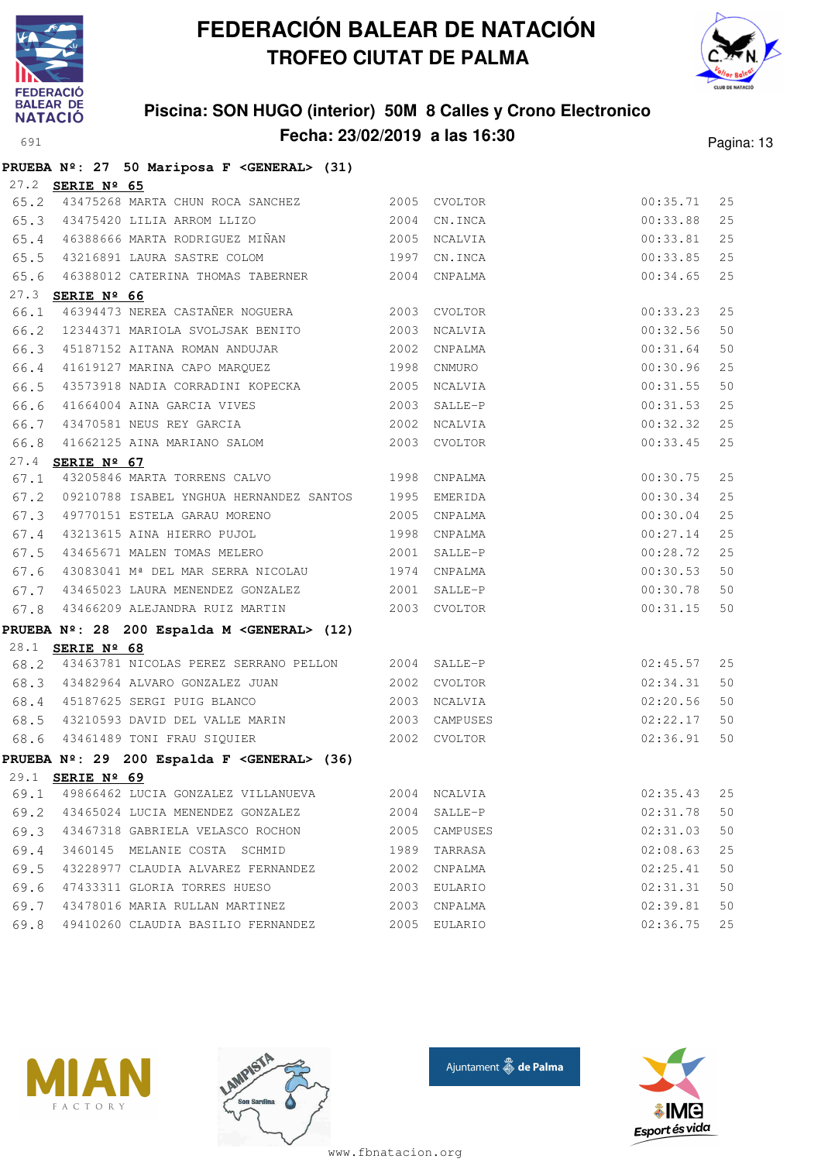

# **FEDERACIÓN BALEAR DE NATACIÓN TROFEO CIUTAT DE PALMA**



# **Piscina: SON HUGO (interior) 50M 8 Calles y Crono Electronico**

| <b>NATACIU</b> |                         |                                                         |      |                               |               |            |
|----------------|-------------------------|---------------------------------------------------------|------|-------------------------------|---------------|------------|
| 691            |                         |                                                         |      | Fecha: 23/02/2019 a las 16:30 |               | Pagina: 13 |
|                |                         | PRUEBA Nº: 27 50 Mariposa F < GENERAL> (31)             |      |                               |               |            |
|                | 27.2 SERIE Nº 65        |                                                         |      |                               |               |            |
|                |                         | 65.2 43475268 MARTA CHUN ROCA SANCHEZ 2005 CVOLTOR      |      |                               | 00:35.71      | 25         |
|                |                         | 65.3 43475420 LILIA ARROM LLIZO 2004                    |      | CN.INCA                       | 00:33.88      | 25         |
|                |                         | 65.4 46388666 MARTA RODRIGUEZ MIÑAN 2005                |      | NCALVIA                       | 00:33.81      | 25         |
|                |                         | 65.5 43216891 LAURA SASTRE COLOM                        | 1997 | CN.INCA                       | 00:33.85      | 25         |
| 65.6           |                         | 46388012 CATERINA THOMAS TABERNER 2004 CNPALMA          |      |                               | 00:34.65      | 25         |
|                | 27.3 SERIE Nº 66        |                                                         |      |                               |               |            |
| 66.1           |                         | 46394473 NEREA CASTAÑER NOGUERA 2003 CVOLTOR            |      |                               | 00:33.23      | 25         |
|                |                         | 66.2 12344371 MARIOLA SVOLJSAK BENITO 2003              |      | NCALVIA                       | 00:32.56      | 50         |
|                |                         | 66.3 45187152 AITANA ROMAN ANDUJAR                      | 2002 | CNPALMA                       | 00:31.64      | 50         |
|                |                         | 66.4 41619127 MARINA CAPO MARQUEZ 1998                  |      | CNMURO                        | 00:30.96      | 25         |
| 66.5           |                         | 43573918 NADIA CORRADINI KOPECKA 2005                   |      | NCALVIA                       | 00:31.55      | 50         |
| 66.6           |                         | 41664004 AINA GARCIA VIVES                              | 2003 | SALLE-P                       | $00:31.53$ 25 |            |
| 66.7           |                         | 43470581 NEUS REY GARCIA (2002 NCALVIA                  |      |                               | 00:32.32 25   |            |
| 66.8           |                         | 41662125 AINA MARIANO SALOM 2003 CVOLTOR                |      |                               | 00:33.45      | 25         |
|                | 27.4 SERIE Nº 67        |                                                         |      |                               |               |            |
| 67.1           |                         | 43205846 MARTA TORRENS CALVO 1998                       |      | CNPALMA                       | 00:30.75      | 25         |
|                |                         | 67.2 09210788 ISABEL YNGHUA HERNANDEZ SANTOS 1995       |      | EMERIDA                       | 00:30.34      | 25         |
|                |                         | 67.3 49770151 ESTELA GARAU MORENO 2005                  |      | CNPALMA                       | 00:30.04      | 25         |
| 67.4           |                         | 43213615 AINA HIERRO PUJOL 1998                         |      | CNPALMA                       | 00:27.14      | 25         |
|                |                         | 67.5 43465671 MALEN TOMAS MELERO                        | 2001 | SALLE-P                       | 00:28.72      | 25         |
|                |                         | 67.6 43083041 Mª DEL MAR SERRA NICOLAU 1974 CNPALMA     |      |                               | 00:30.53      | 50         |
| 67.7           |                         | 43465023 LAURA MENENDEZ GONZALEZ 2001                   |      | SALLE-P                       | 00:30.78      | 50         |
| 67.8           |                         | 43466209 ALEJANDRA RUIZ MARTIN 2003 CVOLTOR             |      |                               | 00:31.15      | 50         |
|                |                         | PRUEBA Nº: 28 200 Espalda M <general> (12)</general>    |      |                               |               |            |
|                | 28.1 <b>SERIE Nº 68</b> |                                                         |      |                               |               |            |
|                |                         | 68.2 43463781 NICOLAS PEREZ SERRANO PELLON 2004 SALLE-P |      |                               | 02:45.57      | 25         |
|                |                         | 68.3 43482964 ALVARO GONZALEZ JUAN 2002                 |      | CVOLTOR                       | 02:34.31      | 50         |
|                |                         | 68.4 45187625 SERGI PUIG BLANCO                         | 2003 | NCALVIA                       | 02:20.56      | 50         |
|                |                         | 68.5 43210593 DAVID DEL VALLE MARIN                     |      | 2003 CAMPUSES                 | 02:22.17      | 50         |
|                |                         | 68.6 43461489 TONI FRAU SIQUIER                         |      | 2002 CVOLTOR                  | 02:36.91 50   |            |
|                |                         | PRUEBA Nº: 29 200 Espalda F < GENERAL> (36)             |      |                               |               |            |
|                | 29.1 SERIE Nº 69        |                                                         |      |                               |               |            |
| 69.1           |                         | 49866462 LUCIA GONZALEZ VILLANUEVA                      |      | 2004 NCALVIA                  | 02:35.43      | 25         |
|                |                         | 69.2 43465024 LUCIA MENENDEZ GONZALEZ                   | 2004 | SALLE-P                       | 02:31.78      | 50         |
|                |                         | 69.3 43467318 GABRIELA VELASCO ROCHON                   | 2005 | CAMPUSES                      | 02:31.03      | 50         |
| 69.4           |                         | 3460145 MELANIE COSTA SCHMID                            | 1989 | TARRASA                       | 02:08.63      | 25         |
|                |                         | 69.5 43228977 CLAUDIA ALVAREZ FERNANDEZ                 | 2002 | CNPALMA                       | 02:25.41      | 50         |
|                |                         | 69.6 47433311 GLORIA TORRES HUESO                       | 2003 | EULARIO                       | 02:31.31      | 50         |
| 69.7           |                         | 43478016 MARIA RULLAN MARTINEZ                          | 2003 | CNPALMA                       | 02:39.81      | 50         |
| 69.8           |                         | 49410260 CLAUDIA BASILIO FERNANDEZ                      |      | 2005 EULARIO                  | 02:36.75      | 25         |
|                |                         |                                                         |      |                               |               |            |







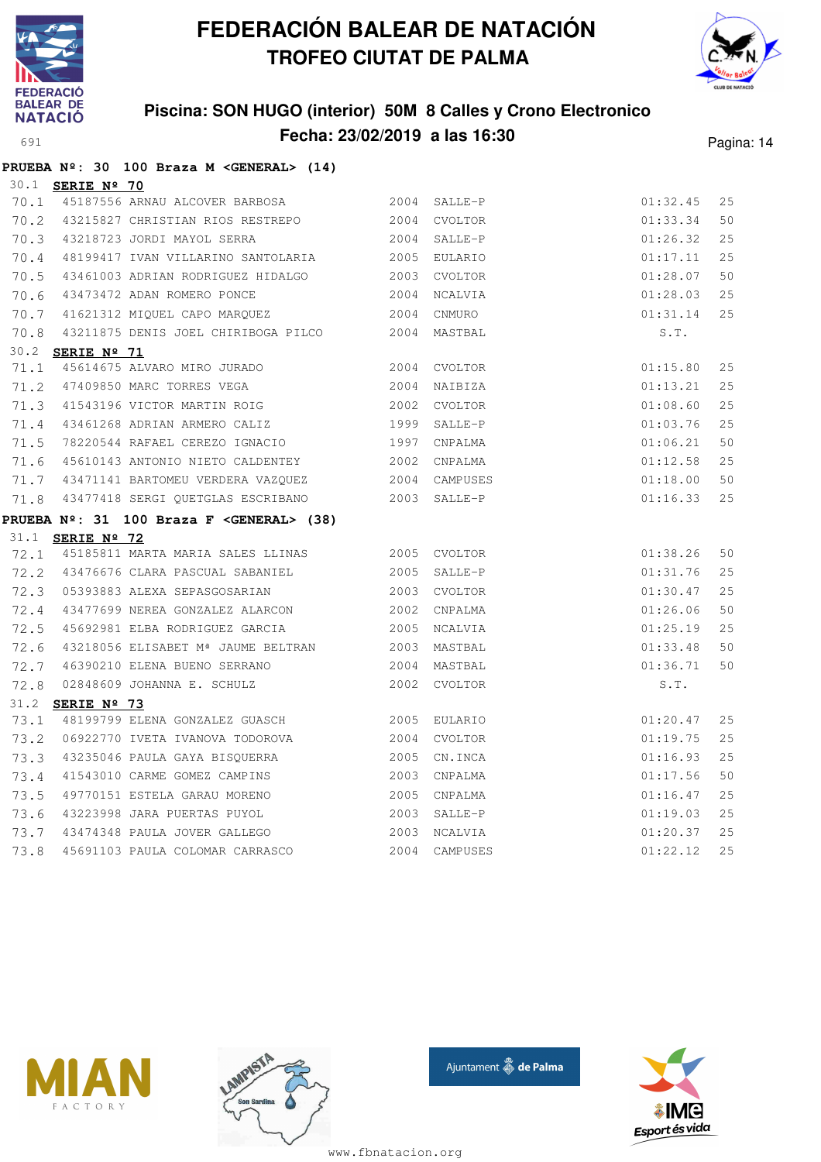

**PRUEBA Nº: 30 100 Braza M <GENERAL> (14)**

# **FEDERACIÓN BALEAR DE NATACIÓN TROFEO CIUTAT DE PALMA**



### **Piscina: SON HUGO (interior) 50M 8 Calles y Crono Electronico Fecha: 23/02/2019 a las 16:30** Pagina: 14

|              | 30.1 SERIE Nº 70        |                                                                 |              |                     |                      |          |
|--------------|-------------------------|-----------------------------------------------------------------|--------------|---------------------|----------------------|----------|
| 70.1         |                         | 45187556 ARNAU ALCOVER BARBOSA 2004 SALLE-P                     |              |                     | 01:32.45             | 25       |
| 70.2         |                         | 43215827 CHRISTIAN RIOS RESTREPO                                |              | 2004 CVOLTOR        | 01:33.34             | 50       |
| 70.3         |                         | 43218723 JORDI MAYOL SERRA                                      | 2004         | SALLE-P             | 01:26.32             | 25       |
| 70.4         |                         | 48199417 IVAN VILLARINO SANTOLARIA                              |              | 2005 EULARIO        | 01:17.11             | 25       |
| 70.5         |                         | 43461003 ADRIAN RODRIGUEZ HIDALGO 2003                          |              | CVOLTOR             | 01:28.07             | 50       |
| 70.6         |                         | 43473472 ADAN ROMERO PONCE                                      | 2004         | NCALVIA             | 01:28.03             | 25       |
| 70.7         |                         | 41621312 MIQUEL CAPO MARQUEZ                                    | 2004         | CNMURO              | 01:31.14             | 25       |
| 70.8         |                         | 43211875 DENIS JOEL CHIRIBOGA PILCO 2004 MASTBAL                |              |                     | S.T.                 |          |
|              | 30.2 SERIE Nº 71        |                                                                 |              |                     |                      |          |
| 71.1         |                         | 45614675 ALVARO MIRO JURADO 2004 CVOLTOR                        |              |                     | 01:15.80             | 25       |
| 71.2         |                         | 47409850 MARC TORRES VEGA                                       |              | 2004 NAIBIZA        | 01:13.21             | 25       |
| 71.3         |                         | 41543196 VICTOR MARTIN ROIG                                     |              | 2002 CVOLTOR        | 01:08.60             | 25       |
| 71.4         |                         | 43461268 ADRIAN ARMERO CALIZ                                    | 1999         | SALLE-P             | 01:03.76             | 25       |
| 71.5         |                         | 78220544 RAFAEL CEREZO IGNACIO                                  | 1997         | CNPALMA             | 01:06.21             | 50       |
| 71.6         |                         | 45610143 ANTONIO NIETO CALDENTEY 2002                           |              | CNPALMA             | 01:12.58             | 25       |
| 71.7         |                         | 43471141 BARTOMEU VERDERA VAZQUEZ 6000 2004 CAMPUSES            |              |                     | 01:18.00             | 50       |
| 71.8         |                         | 43477418 SERGI QUETGLAS ESCRIBANO 6 2003 SALLE-P                |              |                     | 01:16.33             | 25       |
|              |                         |                                                                 |              |                     |                      |          |
|              |                         | PRUEBA Nº: 31 100 Braza F < GENERAL> (38)                       |              |                     |                      |          |
|              | 31.1 <b>SERIE Nº 72</b> |                                                                 |              |                     |                      |          |
| 72.1         |                         | 45185811 MARTA MARIA SALES LLINAS 2005 CVOLTOR                  |              |                     | 01:38.26             | 50       |
| 72.2         |                         | 43476676 CLARA PASCUAL SABANIEL 2005 SALLE-P                    |              |                     | 01:31.76             | 25       |
| 72.3         |                         | 05393883 ALEXA SEPASGOSARIAN<br>2003 CVOLTOR                    |              |                     | 01:30.47             | 25       |
| 72.4         |                         | 43477699 NEREA GONZALEZ ALARCON 2002                            |              | CNPALMA             | 01:26.06             | 50       |
| 72.5         |                         |                                                                 |              | NCALVIA             | 01:25.19             | 25       |
| 72.6         |                         | 43218056 ELISABET M <sup>ª</sup> JAUME BELTRAN 2003             |              | MASTBAL             | 01:33.48             | 50       |
| 72.7         |                         | 46390210 ELENA BUENO SERRANO 2004                               |              | MASTBAL             | 01:36.71             | 50       |
| 72.8         |                         | 02848609 JOHANNA E. SCHULZ 2002 CVOLTOR                         |              |                     | S.T.                 |          |
|              | 31.2 <b>SERIE Nº 73</b> |                                                                 |              |                     |                      |          |
| 73.1         |                         | 48199799 ELENA GONZALEZ GUASCH 2005                             |              | EULARIO             | 01:20.47             | 25       |
| 73.2         |                         | 06922770 IVETA IVANOVA TODOROVA 2004                            |              | CVOLTOR             | 01:19.75             | 25       |
| 73.3         |                         | 43235046 PAULA GAYA BISQUERRA                                   | 2005         | CN.INCA             | 01:16.93             | 25       |
| 73.4         |                         | 41543010 CARME GOMEZ CAMPINS                                    | 2003         | CNPALMA             | 01:17.56             | 50       |
| 73.5         |                         | 49770151 ESTELA GARAU MORENO                                    | 2005         | CNPALMA             | 01:16.47             | 25       |
| 73.6         |                         | 43223998 JARA PUERTAS PUYOL                                     | 2003         | SALLE-P             | 01:19.03             | 25       |
| 73.7<br>73.8 |                         | 43474348 PAULA JOVER GALLEGO<br>45691103 PAULA COLOMAR CARRASCO | 2003<br>2004 | NCALVIA<br>CAMPUSES | 01:20.37<br>01:22.12 | 25<br>25 |







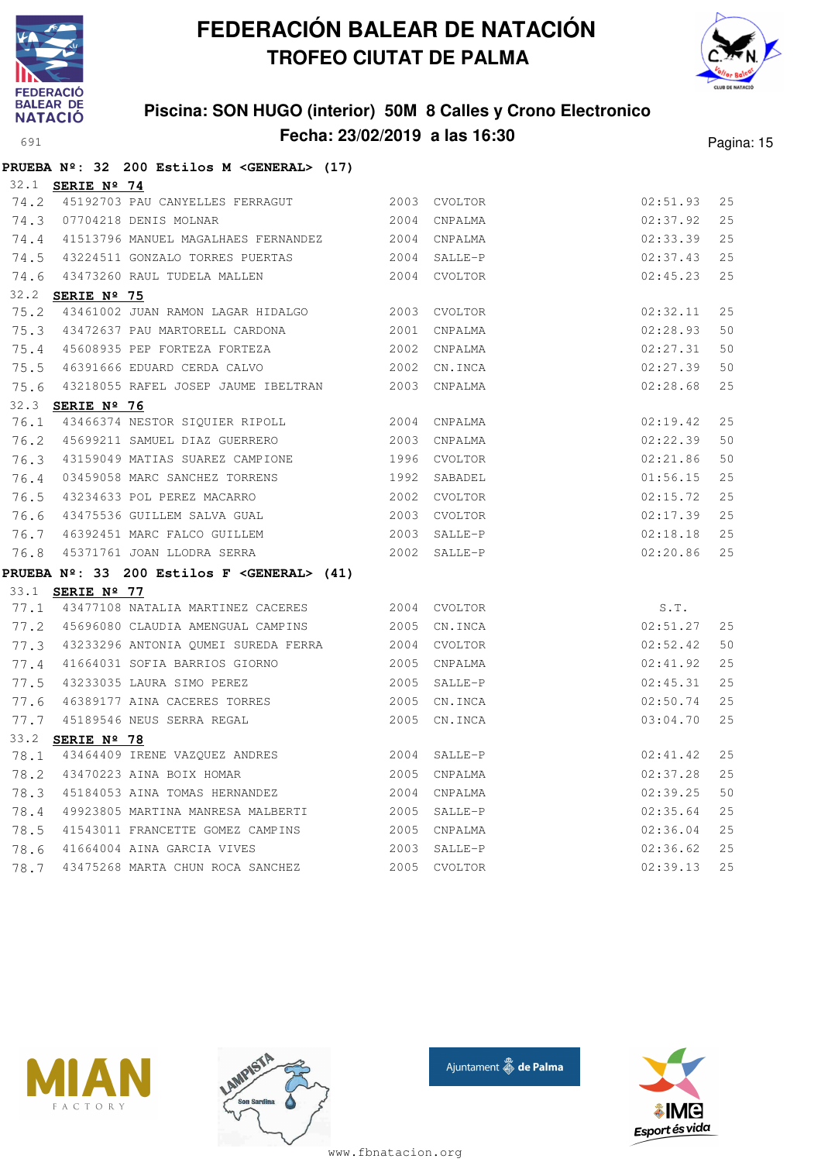



### **Piscina: SON HUGO (interior) 50M 8 Calles y Crono Electronico Fecha: 23/02/2019 a las 16:30** Pagina: 15

|      |                         | PRUEBA Nº: 32 200 Estilos M < GENERAL> (17)                         |              |              |          |    |
|------|-------------------------|---------------------------------------------------------------------|--------------|--------------|----------|----|
|      | 32.1 <b>SERIE Nº 74</b> |                                                                     |              |              |          |    |
| 74.2 |                         | 45192703 PAU CANYELLES FERRAGUT 2003 CVOLTOR                        |              |              | 02:51.93 | 25 |
|      |                         | 74.3 07704218 DENIS MOLNAR                                          |              | 2004 CNPALMA | 02:37.92 | 25 |
| 74.4 |                         | 41513796 MANUEL MAGALHAES FERNANDEZ 2004 CNPALMA                    |              |              | 02:33.39 | 25 |
| 74.5 |                         | 43224511 GONZALO TORRES PUERTAS 2004 SALLE-P                        |              |              | 02:37.43 | 25 |
|      |                         | 74.6 43473260 RAUL TUDELA MALLEN 2004 CVOLTOR                       |              |              | 02:45.23 | 25 |
|      | 32.2 <b>SERIE Nº 75</b> |                                                                     |              |              |          |    |
| 75.2 |                         | 43461002 JUAN RAMON LAGAR HIDALGO 2003 CVOLTOR                      |              |              | 02:32.11 | 25 |
| 75.3 |                         | 43472637 PAU MARTORELL CARDONA                                      |              | 2001 CNPALMA | 02:28.93 | 50 |
| 75.4 |                         | 45608935 PEP FORTEZA FORTEZA                                        |              | 2002 CNPALMA | 02:27.31 | 50 |
| 75.5 |                         | 46391666 EDUARD CERDA CALVO                                         |              | 2002 CN.INCA | 02:27.39 | 50 |
|      |                         | 75.6 43218055 RAFEL JOSEP JAUME IBELTRAN 2003 CNPALMA               |              |              | 02:28.68 | 25 |
|      | 32.3 SERIE Nº 76        |                                                                     |              |              |          |    |
| 76.1 |                         | 43466374 NESTOR SIQUIER RIPOLL 2004 CNPALMA                         |              |              | 02:19.42 | 25 |
| 76.2 |                         | 45699211 SAMUEL DIAZ GUERRERO                                       |              | 2003 CNPALMA | 02:22.39 | 50 |
| 76.3 |                         | 43159049 MATIAS SUAREZ CAMPIONE 1996 CVOLTOR                        |              |              | 02:21.86 | 50 |
| 76.4 |                         | 03459058 MARC SANCHEZ TORRENS                                       |              | 1992 SABADEL | 01:56.15 | 25 |
| 76.5 |                         | 43234633 POL PEREZ MACARRO 2002 CVOLTOR                             |              |              | 02:15.72 | 25 |
| 76.6 |                         | 43475536 GUILLEM SALVA GUAL 2003 CVOLTOR                            |              |              | 02:17.39 | 25 |
| 76.7 |                         | 46392451 MARC FALCO GUILLEM 2003 SALLE-P                            |              |              | 02:18.18 | 25 |
| 76.8 |                         | 45371761 JOAN LLODRA SERRA 2002 SALLE-P                             |              |              | 02:20.86 | 25 |
|      |                         | PRUEBA $N^{\circ}$ : 33 200 Estilos F <general> (41)</general>      |              |              |          |    |
|      | 33.1 <b>SERIE Nº 77</b> |                                                                     |              |              |          |    |
| 77.1 |                         | 43477108 NATALIA MARTINEZ CACERES 2004 CVOLTOR                      |              |              | S.T.     |    |
| 77.2 |                         | 45696080 CLAUDIA AMENGUAL CAMPINS                                   |              | 2005 CN.INCA | 02:51.27 | 25 |
| 77.3 |                         | 43233296 ANTONIA QUMEI SUREDA FERRA 2004 CVOLTOR                    |              |              | 02:52.42 | 50 |
| 77.4 |                         | 41664031 SOFIA BARRIOS GIORNO                                       |              | 2005 CNPALMA | 02:41.92 | 25 |
| 77.5 |                         | 43233035 LAURA SIMO PEREZ                                           |              | 2005 SALLE-P | 02:45.31 | 25 |
|      |                         |                                                                     |              | 2005 CN.INCA | 02:50.74 | 25 |
|      |                         | 77.6 46389177 AINA CACERES TORRES<br>77.7 45189546 NEUS SERRA REGAL |              | 2005 CN.INCA | 03:04.70 | 25 |
|      | 33.2 <b>SERIE Nº 78</b> |                                                                     |              |              |          |    |
| 78.1 |                         | 43464409 IRENE VAZQUEZ ANDRES 2004 SALLE-P                          |              |              | 02:41.42 | 25 |
| 78.2 |                         | 43470223 AINA BOIX HOMAR                                            | 2005 CNPALMA |              | 02:37.28 | 25 |
| 78.3 |                         | 45184053 AINA TOMAS HERNANDEZ 2004                                  |              | CNPALMA      | 02:39.25 | 50 |
| 78.4 |                         |                                                                     |              |              | 02:35.64 | 25 |
| 78.5 |                         | 41543011 FRANCETTE GOMEZ CAMPINS 2005 CNPALMA                       |              |              | 02:36.04 | 25 |
| 78.6 |                         | 41664004 AINA GARCIA VIVES 2003                                     |              | SALLE-P      | 02:36.62 | 25 |
| 78.7 |                         | 43475268 MARTA CHUN ROCA SANCHEZ                                    | 2005         | CVOLTOR      | 02:39.13 | 25 |







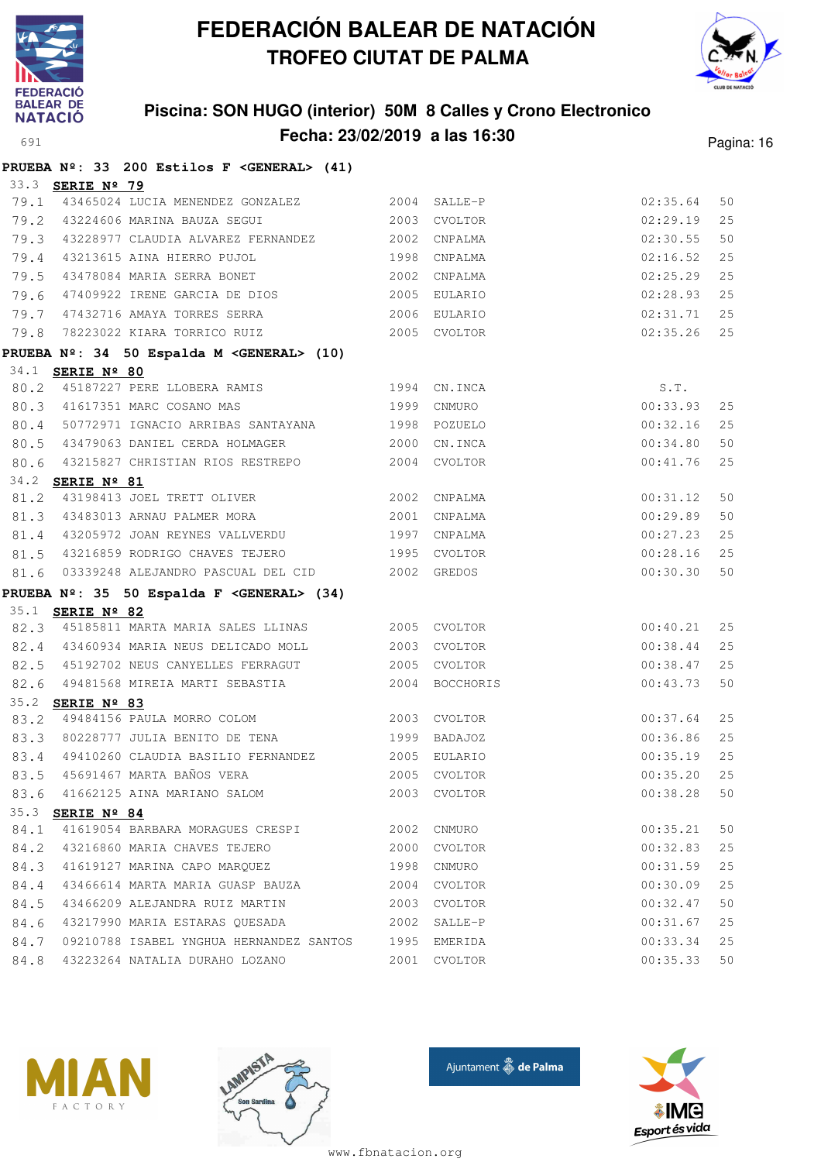



### **Piscina: SON HUGO (interior) 50M 8 Calles y Crono Electronico Fecha: 23/02/2019 a las 16:30** Pagina: 16

|      |                         | PRUEBA Nº: 33 200 Estilos F < GENERAL> (41)                                       |      |              |               |    |
|------|-------------------------|-----------------------------------------------------------------------------------|------|--------------|---------------|----|
|      | 33.3 <b>SERIE Nº 79</b> |                                                                                   |      |              |               |    |
| 79.1 |                         | 43465024 LUCIA MENENDEZ GONZALEZ 2004 SALLE-P                                     |      |              | 02:35.64      | 50 |
|      |                         | 79.2 43224606 MARINA BAUZA SEGUI 2003                                             |      | CVOLTOR      | 02:29.19      | 25 |
|      |                         | 79.3 43228977 CLAUDIA ALVAREZ FERNANDEZ 2002                                      |      | CNPALMA      | 02:30.55      | 50 |
|      |                         | 79.4 43213615 AINA HIERRO PUJOL                                                   | 1998 | CNPALMA      | 02:16.52      | 25 |
| 79.5 |                         | 43478084 MARIA SERRA BONET 2002                                                   |      | CNPALMA      | 02:25.29      | 25 |
| 79.6 |                         | 47409922 IRENE GARCIA DE DIOS 2005                                                |      | EULARIO      | 02:28.93      | 25 |
|      |                         | 79.7 47432716 AMAYA TORRES SERRA                                                  |      | 2006 EULARIO | 02:31.71      | 25 |
| 79.8 |                         | 78223022 KIARA TORRICO RUIZ 2005 CVOLTOR                                          |      |              | $02:35.26$ 25 |    |
|      |                         | PRUEBA Nº: 34 50 Espalda M < GENERAL> (10)                                        |      |              |               |    |
|      | 34.1 <b>SERIE Nº 80</b> |                                                                                   |      |              |               |    |
| 80.2 |                         | 45187227 PERE LLOBERA RAMIS 1994 CN.INCA                                          |      |              | S.T.          |    |
|      |                         | 80.3 41617351 MARC COSANO MAS 1999                                                |      | CNMURO       | 00:33.93      | 25 |
|      |                         | 80.4 50772971 IGNACIO ARRIBAS SANTAYANA 6 1998 POZUELO                            |      |              | 00:32.16      | 25 |
|      |                         | 80.5 43479063 DANIEL CERDA HOLMAGER 2000                                          |      | CN.INCA      | 00:34.80      | 50 |
|      |                         | 80.6 43215827 CHRISTIAN RIOS RESTREPO                                             | 2004 | CVOLTOR      | 00:41.76      | 25 |
|      | 34.2 SERIE Nº 81        |                                                                                   |      |              |               |    |
| 81.2 |                         | 43198413 JOEL TRETT OLIVER 2002 CNPALMA                                           |      |              | 00:31.12      | 50 |
|      |                         | 81.3 43483013 ARNAU PALMER MORA 2001                                              |      | CNPALMA      | 00:29.89      | 50 |
|      |                         | 81.4 43205972 JOAN REYNES VALLVERDU 1997                                          |      | CNPALMA      | 00:27.23      | 25 |
|      |                         | 81.5 43216859 RODRIGO CHAVES TEJERO 1995 CVOLTOR                                  |      |              | 00:28.16      | 25 |
|      |                         | 81.6 03339248 ALEJANDRO PASCUAL DEL CID 2002 GREDOS                               |      |              | 00:30.30      | 50 |
|      |                         | PRUEBA Nº: 35 50 Espalda F < GENERAL> (34)                                        |      |              |               |    |
|      | 35.1 <b>SERIE Nº 82</b> |                                                                                   |      |              |               |    |
|      |                         | 82.3 45185811 MARTA MARIA SALES LLINAS 2005 CVOLTOR                               |      |              | 00:40.21      | 25 |
|      |                         | 82.4 43460934 MARIA NEUS DELICADO MOLL 2003 CVOLTOR                               |      |              | 00:38.44      | 25 |
|      |                         | 82.5 45192702 NEUS CANYELLES FERRAGUT 2005 CVOLTOR                                |      |              | 00:38.47      | 25 |
| 82.6 |                         |                                                                                   |      |              | 00:43.73      | 50 |
|      | 35.2 <b>SERIE Nº 83</b> | 83.2 49484156 PAULA MORRO COLOM 2003 CVOLTOR                                      |      |              | 00:37.64      | 25 |
|      |                         | 83.3 80228777 JULIA BENITO DE TENA                                                | 1999 | BADAJOZ      | 00:36.86      | 25 |
|      |                         |                                                                                   |      |              | 00:35.19      | 25 |
| 83.5 |                         | 83.4 49410260 CLAUDIA BASILIO FERNANDEZ 2005 EULARIO<br>45691467 MARTA BAÑOS VERA |      | 2005 CVOLTOR | 00:35.20      | 25 |
| 83.6 |                         | 41662125 AINA MARIANO SALOM                                                       |      | 2003 CVOLTOR | 00:38.28      | 50 |
|      | 35.3 SERIE Nº 84        |                                                                                   |      |              |               |    |
| 84.1 |                         | 41619054 BARBARA MORAGUES CRESPI                                                  |      | 2002 CNMURO  | 00:35.21      | 50 |
| 84.2 |                         | 43216860 MARIA CHAVES TEJERO                                                      | 2000 | CVOLTOR      | 00:32.83      | 25 |
| 84.3 |                         | 41619127 MARINA CAPO MARQUEZ                                                      | 1998 | CNMURO       | 00:31.59      | 25 |
| 84.4 |                         | 43466614 MARTA MARIA GUASP BAUZA                                                  | 2004 | CVOLTOR      | 00:30.09      | 25 |
| 84.5 |                         | 43466209 ALEJANDRA RUIZ MARTIN                                                    | 2003 | CVOLTOR      | 00:32.47      | 50 |
| 84.6 |                         | 43217990 MARIA ESTARAS QUESADA                                                    | 2002 | SALLE-P      | 00:31.67      | 25 |
| 84.7 |                         | 09210788 ISABEL YNGHUA HERNANDEZ SANTOS                                           | 1995 | EMERIDA      | 00:33.34      | 25 |
| 84.8 |                         | 43223264 NATALIA DURAHO LOZANO                                                    | 2001 | CVOLTOR      | 00:35.33      | 50 |
|      |                         |                                                                                   |      |              |               |    |







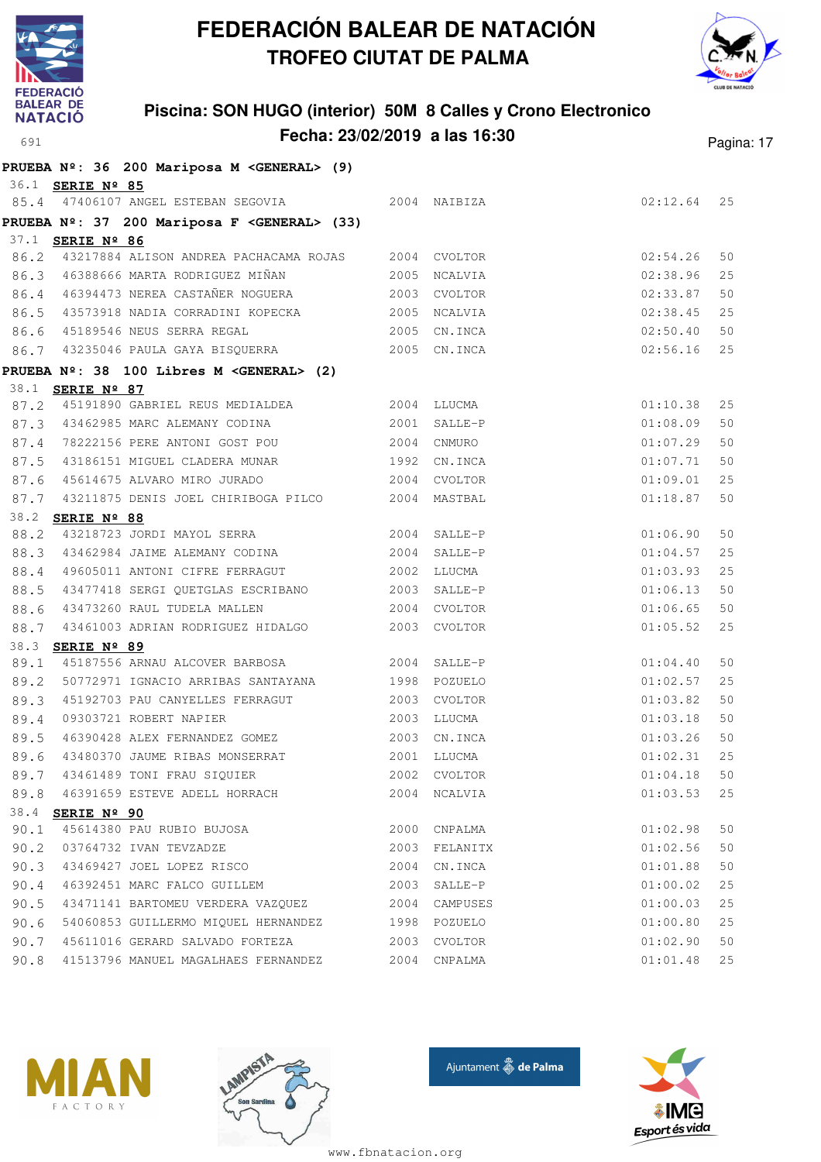



### **Piscina: SON HUGO (interior) 50M 8 Calles y Crono Electronico Fecha: 23/02/2019 a las 16:30** Pagina: 17

|      |                         | PRUEBA Nº: 36 200 Mariposa M < GENERAL> (9)                  |      |                |          |    |
|------|-------------------------|--------------------------------------------------------------|------|----------------|----------|----|
|      | 36.1 <b>SERIE Nº 85</b> |                                                              |      |                |          |    |
|      |                         | 85.4 47406107 ANGEL ESTEBAN SEGOVIA 2004 NAIBIZA             |      |                | 02:12.64 | 25 |
|      |                         | PRUEBA Nº: 37 200 Mariposa F < GENERAL> (33)                 |      |                |          |    |
|      | 37.1 <b>SERIE Nº 86</b> |                                                              |      |                |          |    |
|      |                         | 86.2 43217884 ALISON ANDREA PACHACAMA ROJAS 2004 CVOLTOR     |      |                | 02:54.26 | 50 |
|      |                         | 86.3 46388666 MARTA RODRIGUEZ MIÑAN                          |      | 2005 NCALVIA   | 02:38.96 | 25 |
|      |                         | 86.4 46394473 NEREA CASTAÑER NOGUERA 2003 CVOLTOR            |      |                | 02:33.87 | 50 |
| 86.5 |                         | 43573918 NADIA CORRADINI KOPECKA 2005 NCALVIA                |      |                | 02:38.45 | 25 |
| 86.6 |                         | 45189546 NEUS SERRA REGAL 2005                               |      | CN.INCA        | 02:50.40 | 50 |
|      |                         | 86.7 43235046 PAULA GAYA BISQUERRA 2005 CN.INCA              |      |                | 02:56.16 | 25 |
|      |                         | PRUEBA Nº: 38 100 Libres M <general> (2)</general>           |      |                |          |    |
|      | 38.1 <b>SERIE Nº 87</b> |                                                              |      |                |          |    |
| 87.2 |                         |                                                              |      |                | 01:10.38 | 25 |
|      |                         | 87.3 43462985 MARC ALEMANY CODINA                            |      | $2001$ SALLE-P | 01:08.09 | 50 |
| 87.4 |                         | 78222156 PERE ANTONI GOST POU                                |      | 2004 CNMURO    | 01:07.29 | 50 |
| 87.5 |                         | 43186151 MIGUEL CLADERA MUNAR 1992 CN.INCA                   |      |                | 01:07.71 | 50 |
| 87.6 |                         | 45614675 ALVARO MIRO JURADO 600 2004 CVOLTOR                 |      |                | 01:09.01 | 25 |
|      |                         | 87.7 43211875 DENIS JOEL CHIRIBOGA PILCO 2004 MASTBAL        |      |                | 01:18.87 | 50 |
|      | 38.2 SERIE Nº 88        |                                                              |      |                |          |    |
| 88.2 |                         | 43218723 JORDI MAYOL SERRA 2004 SALLE-P                      |      |                | 01:06.90 | 50 |
| 88.3 |                         | 43462984 JAIME ALEMANY CODINA 2004                           |      | SALLE-P        | 01:04.57 | 25 |
| 88.4 |                         | 49605011 ANTONI CIFRE FERRAGUT 2002 LLUCMA                   |      |                | 01:03.93 | 25 |
| 88.5 |                         | 43477418 SERGI QUETGLAS ESCRIBANO 2003 SALLE-P               |      |                | 01:06.13 | 50 |
| 88.6 |                         | 43473260 RAUL TUDELA MALLEN 2004 CVOLTOR                     |      |                | 01:06.65 | 50 |
| 88.7 |                         | 43461003 ADRIAN RODRIGUEZ HIDALGO  2003 CVOLTOR              |      |                | 01:05.52 | 25 |
|      | 38.3 SERIE Nº 89        |                                                              |      |                |          |    |
| 89.1 |                         | 45187556 ARNAU ALCOVER BARBOSA 2004                          |      | SALLE-P        | 01:04.40 | 50 |
| 89.2 |                         |                                                              |      |                | 01:02.57 | 25 |
| 89.3 |                         | 45192703 PAU CANYELLES FERRAGUT 2003                         |      | CVOLTOR        | 01:03.82 | 50 |
| 89.4 |                         | 09303721 ROBERT NAPIER                                       | 2003 | LLUCMA         | 01:03.18 | 50 |
| 89.5 |                         | 46390428 ALEX FERNANDEZ GOMEZ                                |      | 2003 CN.INCA   | 01:03.26 | 50 |
| 89.6 |                         | 43480370 JAUME RIBAS MONSERRAT<br>43461489 TONI FRAU SIQUIER |      | 2001 LLUCMA    | 01:02.31 | 25 |
| 89.7 |                         |                                                              |      | 2002 CVOLTOR   | 01:04.18 | 50 |
| 89.8 |                         | 46391659 ESTEVE ADELL HORRACH                                |      | 2004 NCALVIA   | 01:03.53 | 25 |
|      | 38.4 <b>SERIE Nº 90</b> |                                                              |      |                |          |    |
| 90.1 |                         | 45614380 PAU RUBIO BUJOSA                                    |      | 2000 CNPALMA   | 01:02.98 | 50 |
| 90.2 |                         | 03764732 IVAN TEVZADZE                                       |      | 2003 FELANITX  | 01:02.56 | 50 |
| 90.3 |                         | 43469427 JOEL LOPEZ RISCO                                    | 2004 | CN.INCA        | 01:01.88 | 50 |
| 90.4 |                         | 46392451 MARC FALCO GUILLEM                                  | 2003 | SALLE-P        | 01:00.02 | 25 |
| 90.5 |                         | 43471141 BARTOMEU VERDERA VAZQUEZ                            | 2004 | CAMPUSES       | 01:00.03 | 25 |
| 90.6 |                         | 54060853 GUILLERMO MIQUEL HERNANDEZ                          |      | 1998 POZUELO   | 01:00.80 | 25 |
| 90.7 |                         | 45611016 GERARD SALVADO FORTEZA                              | 2003 | CVOLTOR        | 01:02.90 | 50 |
| 90.8 |                         | 41513796 MANUEL MAGALHAES FERNANDEZ                          |      | 2004 CNPALMA   | 01:01.48 | 25 |







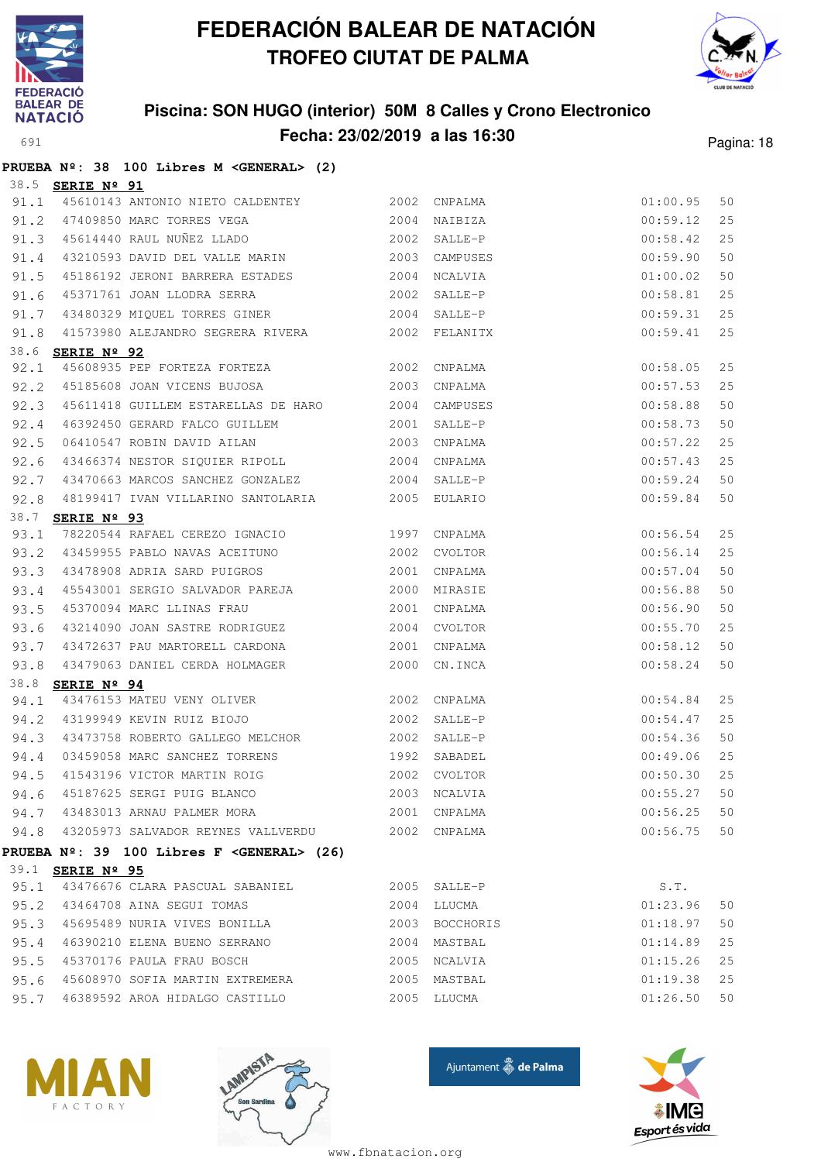



### **Piscina: SON HUGO (interior) 50M 8 Calles y Crono Electronico Fecha: 23/02/2019 a las 16:30** Pagina: 18

|      |                         | PRUEBA Nº: 38 100 Libres M < GENERAL> (2)                       |                                |               |    |
|------|-------------------------|-----------------------------------------------------------------|--------------------------------|---------------|----|
|      | 38.5 <b>SERIE Nº 91</b> |                                                                 |                                |               |    |
| 91.1 |                         | 45610143 ANTONIO NIETO CALDENTEY 2002 CNPALMA                   |                                | 01:00.95      | 50 |
|      |                         | 91.2 47409850 MARC TORRES VEGA 2004                             | NAIBIZA                        | 00:59.12      | 25 |
|      |                         | 91.3 45614440 RAUL NUÑEZ LLADO 2002                             | SALLE-P                        | 00:58.42      | 25 |
|      |                         | 91.4 43210593 DAVID DEL VALLE MARIN                             | 2003 CAMPUSES                  | 00:59.90      | 50 |
| 91.5 |                         |                                                                 |                                | 01:00.02      | 50 |
| 91.6 |                         | 45371761 JOAN LLODRA SERRA 2002                                 | SALLE-P                        | 00:58.81      | 25 |
| 91.7 |                         | 43480329 MIQUEL TORRES GINER 2004 SALLE-P                       |                                | 00:59.31      | 25 |
|      |                         | 91.8 41573980 ALEJANDRO SEGRERA RIVERA 2002 FELANITX            |                                | 00:59.41      | 25 |
|      | 38.6 <b>SERIE Nº 92</b> |                                                                 |                                |               |    |
| 92.1 |                         | <u>ekie w 32</u><br>45608935 PEP FORTEZA FORTEZA (2002 CNPALMA) | $00:58.05$<br>$00:57.53$       |               | 25 |
|      |                         | 92.2 45185608 JOAN VICENS BUJOSA 2003                           | CNPALMA                        |               | 25 |
| 92.3 |                         | 45611418 GUILLEM ESTARELLAS DE HARO 2004 CAMPUSES               |                                | 00:58.88      | 50 |
| 92.4 |                         | 46392450 GERARD FALCO GUILLEM 2001 SALLE-P                      |                                | 00:58.73      | 50 |
| 92.5 |                         | 06410547 ROBIN DAVID AILAN 2003                                 | CNPALMA                        | 00:57.22      | 25 |
| 92.6 |                         | 43466374 NESTOR SIQUIER RIPOLL 2004                             | CNPALMA                        | 00:57.43      | 25 |
| 92.7 |                         | 43470663 MARCOS SANCHEZ GONZALEZ 2004 SALLE-P                   |                                | 00:59.24      | 50 |
| 92.8 |                         | 48199417 IVAN VILLARINO SANTOLARIA 62005 EULARIO                |                                | 00:59.84      | 50 |
|      | 38.7 SERIE Nº 93        |                                                                 |                                |               |    |
| 93.1 |                         | 78220544 RAFAEL CEREZO IGNACIO 1997 CNPALMA                     |                                | 00:56.54      | 25 |
|      |                         | 93.2 43459955 PABLO NAVAS ACEITUNO 2002 CVOLTOR                 |                                | 00:56.14      | 25 |
|      |                         | 93.3 43478908 ADRIA SARD PUIGROS                                | 2001 CNPALMA                   | 00:57.04      | 50 |
| 93.4 |                         | 45543001 SERGIO SALVADOR PAREJA 60 2000 MIRASIE                 |                                | 00:56.88      | 50 |
| 93.5 |                         | 45370094 MARC LLINAS FRAU 2001                                  | CNPALMA                        | 00:56.90      | 50 |
| 93.6 |                         | 43214090 JOAN SASTRE RODRIGUEZ 2004                             | CVOLTOR                        | 00:55.70      | 25 |
| 93.7 |                         | 43472637 PAU MARTORELL CARDONA                                  | 2001 CNPALMA                   | 00:58.12      | 50 |
| 93.8 |                         | 43479063 DANIEL CERDA HOLMAGER 2000 CN.INCA                     |                                | 00:58.24      | 50 |
|      | 38.8 <b>SERIE Nº 94</b> |                                                                 |                                |               |    |
|      |                         | 94.1 43476153 MATEU VENY OLIVER 2002                            | CNPALMA                        | 00:54.84      | 25 |
|      |                         | 94.2 43199949 KEVIN RUIZ BIOJO 2002                             | SALLE-P                        | 00:54.47      | 25 |
|      |                         | 94.3 43473758 ROBERTO GALLEGO MELCHOR 2002 SALLE-P              |                                | 00:54.36      | 50 |
| 94.4 |                         | 03459058 MARC SANCHEZ TORRENS 1992 SABADEL                      | $00:49.06$ 25<br>$00:50.30$ 25 |               |    |
|      |                         | 94.5 41543196 VICTOR MARTIN ROIG 2002 CVOLTOR                   |                                |               |    |
|      |                         | 94.6 45187625 SERGI PUIG BLANCO 2003 NCALVIA                    |                                | 00:55.27 50   |    |
|      |                         | 94.7 43483013 ARNAU PALMER MORA                                 | 2001 CNPALMA                   | $00:56.25$ 50 |    |
|      |                         | 94.8 43205973 SALVADOR REYNES VALLVERDU 2002 CNPALMA            |                                | $00:56.75$ 50 |    |
|      |                         | PRUEBA $N^2$ : 39 100 Libres F < GENERAL> (26)                  |                                |               |    |
|      | 39.1 <b>SERIE Nº 95</b> |                                                                 |                                |               |    |
|      |                         | 95.1 43476676 CLARA PASCUAL SABANIEL 2005 SALLE-P               |                                | S.T.          |    |
|      |                         | 95.2 43464708 AINA SEGUI TOMAS                                  | 2004 LLUCMA                    | 01:23.96      | 50 |
|      |                         | 95.3 45695489 NURIA VIVES BONILLA                               | 2003 BOCCHORIS                 | 01:18.97      | 50 |
|      |                         | 95.4 46390210 ELENA BUENO SERRANO                               | 2004 MASTBAL                   | 01:14.89      | 25 |
|      |                         | 95.5 45370176 PAULA FRAU BOSCH                                  | 2005 NCALVIA                   | 01:15.26      | 25 |
|      |                         | 95.6 45608970 SOFIA MARTIN EXTREMERA 2005 MASTBAL               |                                | 01:19.38      | 25 |
| 95.7 |                         | 46389592 AROA HIDALGO CASTILLO                                  | 2005 LLUCMA                    | 01:26.50      | 50 |







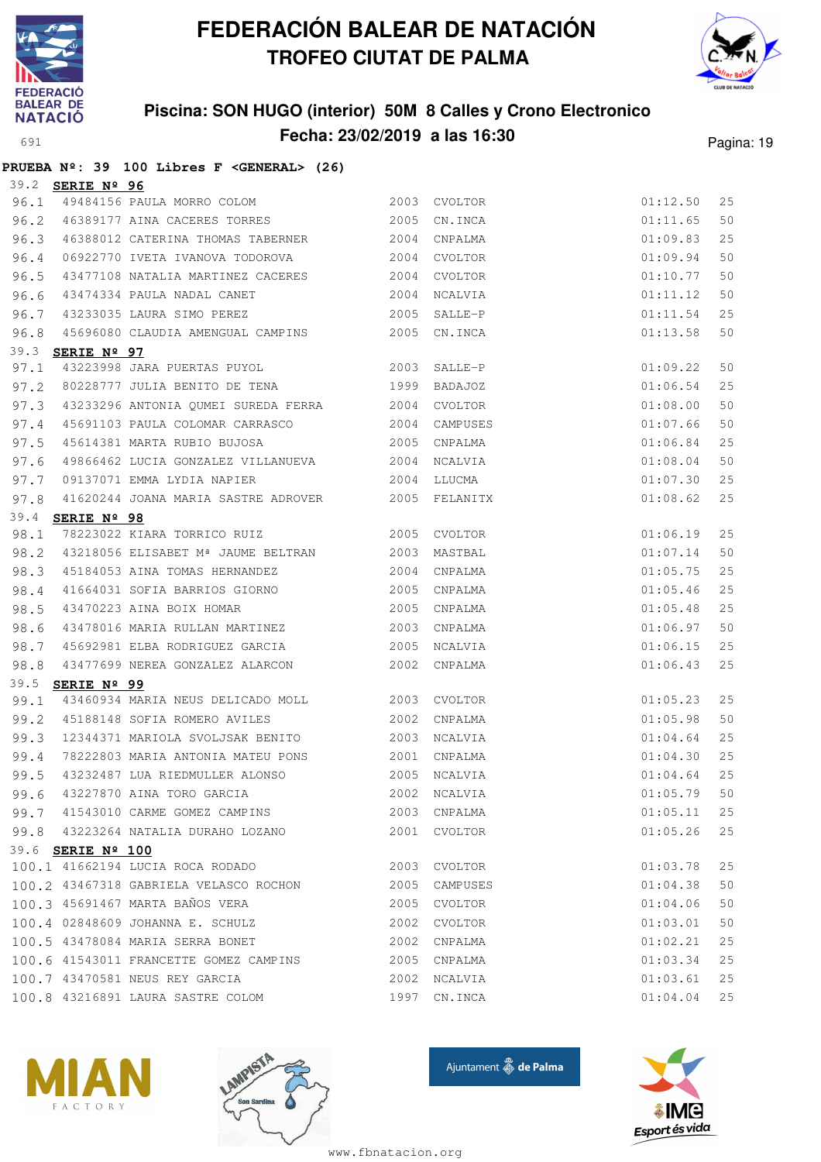



### **Piscina: SON HUGO (interior) 50M 8 Calles y Crono Electronico Fecha: 23/02/2019 a las 16:30** Pagina: 19

|      |                         | PRUEBA Nº: 39 100 Libres F < GENERAL> (26)                       |      |               |          |    |
|------|-------------------------|------------------------------------------------------------------|------|---------------|----------|----|
|      | 39.2 <b>SERIE Nº 96</b> |                                                                  |      |               |          |    |
| 96.1 |                         | 49484156 PAULA MORRO COLOM                                       |      | 2003 CVOLTOR  | 01:12.50 | 25 |
| 96.2 |                         | 46389177 AINA CACERES TORRES                                     | 2005 | CN.INCA       | 01:11.65 | 50 |
| 96.3 |                         | 46388012 CATERINA THOMAS TABERNER                                |      | 2004 CNPALMA  | 01:09.83 | 25 |
| 96.4 |                         | 06922770 IVETA IVANOVA TODOROVA                                  |      | 2004 CVOLTOR  | 01:09.94 | 50 |
| 96.5 |                         | 43477108 NATALIA MARTINEZ CACERES 2004 CVOLTOR                   |      |               | 01:10.77 | 50 |
| 96.6 |                         | 43474334 PAULA NADAL CANET                                       | 2004 | NCALVIA       | 01:11.12 | 50 |
| 96.7 |                         | 43233035 LAURA SIMO PEREZ                                        | 2005 | SALLE-P       | 01:11.54 | 25 |
| 96.8 |                         | 45696080 CLAUDIA AMENGUAL CAMPINS 2005 CN.INCA                   |      |               | 01:13.58 | 50 |
|      | 39.3 <b>SERIE Nº 97</b> |                                                                  |      |               |          |    |
| 97.1 |                         | 43223998 JARA PUERTAS PUYOL 2003                                 |      | SALLE-P       | 01:09.22 | 50 |
| 97.2 |                         | 80228777 JULIA BENITO DE TENA 60228777 JULIA BENITO DE TENA      |      |               | 01:06.54 | 25 |
| 97.3 |                         | 43233296 ANTONIA QUMEI SUREDA FERRA 2004 CVOLTOR                 |      |               | 01:08.00 | 50 |
| 97.4 |                         | 45691103 PAULA COLOMAR CARRASCO                                  |      | 2004 CAMPUSES | 01:07.66 | 50 |
| 97.5 |                         | 45614381 MARTA RUBIO BUJOSA 2005                                 |      | CNPALMA       | 01:06.84 | 25 |
| 97.6 |                         | 49866462 LUCIA GONZALEZ VILLANUEVA 2004                          |      | NCALVIA       | 01:08.04 | 50 |
| 97.7 |                         | 09137071 EMMA LYDIA NAPIER 2004                                  |      | LLUCMA        | 01:07.30 | 25 |
| 97.8 |                         | 41620244 JOANA MARIA SASTRE ADROVER 2005 FELANITX                |      |               | 01:08.62 | 25 |
|      | 39.4 SERIE Nº 98        |                                                                  |      |               |          |    |
| 98.1 |                         | <u>----- - - - -</u><br>78223022 KIARA TORRICO RUIZ 2005 CVOLTOR |      |               | 01:06.19 | 25 |
| 98.2 |                         | 43218056 ELISABET M <sup>ª</sup> JAUME BELTRAN 2003              |      | MASTBAL       | 01:07.14 | 50 |
| 98.3 |                         | 45184053 AINA TOMAS HERNANDEZ                                    | 2004 | CNPALMA       | 01:05.75 | 25 |
| 98.4 |                         | 41664031 SOFIA BARRIOS GIORNO                                    |      | 2005 CNPALMA  | 01:05.46 | 25 |
| 98.5 |                         | 43470223 AINA BOIX HOMAR                                         | 2005 | CNPALMA       | 01:05.48 | 25 |
| 98.6 |                         | 43478016 MARIA RULLAN MARTINEZ                                   | 2003 | CNPALMA       | 01:06.97 | 50 |
| 98.7 |                         | 45692981 ELBA RODRIGUEZ GARCIA                                   | 2005 | NCALVIA       | 01:06.15 | 25 |
| 98.8 |                         | 43477699 NEREA GONZALEZ ALARCON                                  |      | 2002 CNPALMA  | 01:06.43 | 25 |
|      | 39.5 SERIE Nº 99        |                                                                  |      |               |          |    |
| 99.1 |                         | 43460934 MARIA NEUS DELICADO MOLL 2003 CVOLTOR                   |      |               | 01:05.23 | 25 |
| 99.2 |                         | 45188148 SOFIA ROMERO AVILES                                     | 2002 | CNPALMA       | 01:05.98 | 50 |
| 99.3 |                         | 12344371 MARIOLA SVOLJSAK BENITO                                 |      | 2003 NCALVIA  | 01:04.64 | 25 |
| 99.4 |                         | 78222803 MARIA ANTONIA MATEU PONS 2001 CNPALMA                   |      |               | 01:04.30 | 25 |
| 99.5 |                         | 43232487 LUA RIEDMULLER ALONSO                                   |      | 2005 NCALVIA  | 01:04.64 | 25 |
| 99.6 |                         | 43227870 AINA TORO GARCIA                                        | 2002 | NCALVIA       | 01:05.79 | 50 |
|      |                         | 99.7 41543010 CARME GOMEZ CAMPINS                                | 2003 | CNPALMA       | 01:05.11 | 25 |
| 99.8 |                         | 43223264 NATALIA DURAHO LOZANO                                   | 2001 | CVOLTOR       | 01:05.26 | 25 |
|      | 39.6 SERIE Nº 100       |                                                                  |      |               |          |    |
|      |                         | 100.1 41662194 LUCIA ROCA RODADO                                 | 2003 | CVOLTOR       | 01:03.78 | 25 |
|      |                         | 100.2 43467318 GABRIELA VELASCO ROCHON                           | 2005 | CAMPUSES      | 01:04.38 | 50 |
|      |                         | 100.3 45691467 MARTA BAÑOS VERA                                  | 2005 | CVOLTOR       | 01:04.06 | 50 |
|      |                         | 100.4 02848609 JOHANNA E. SCHULZ                                 | 2002 | CVOLTOR       | 01:03.01 | 50 |
|      |                         | 100.5 43478084 MARIA SERRA BONET                                 | 2002 | CNPALMA       | 01:02.21 | 25 |
|      |                         | 100.6 41543011 FRANCETTE GOMEZ CAMPINS                           | 2005 | CNPALMA       | 01:03.34 | 25 |
|      |                         | 100.7 43470581 NEUS REY GARCIA                                   | 2002 | NCALVIA       | 01:03.61 | 25 |
|      |                         | 100.8 43216891 LAURA SASTRE COLOM                                | 1997 | CN.INCA       | 01:04.04 | 25 |